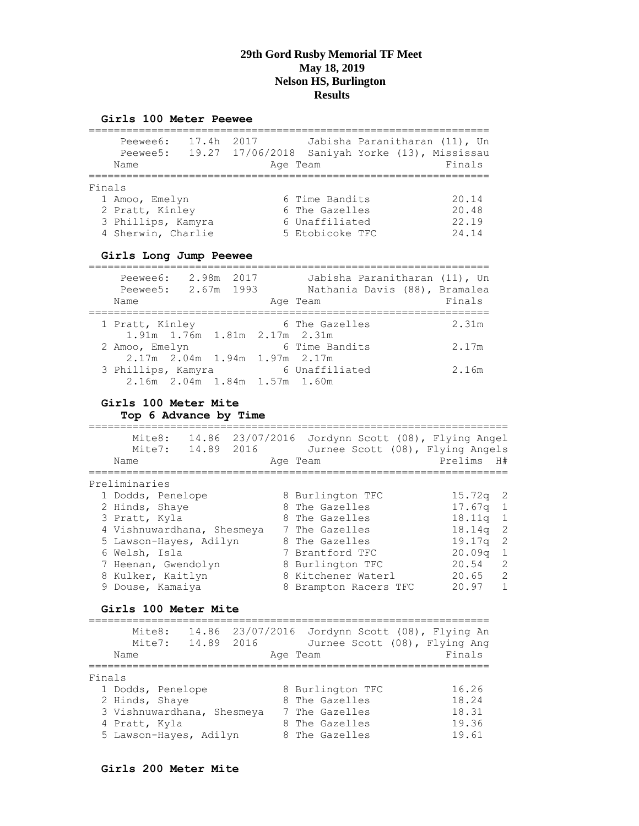#### **Girls 100 Meter Peewee**

|        | Peewee6:<br>Peewee5:<br>Name                                                  | 17.4h | 2017<br>19.27 17/06/2018<br>Age Team |                                                                       | Jabisha Paranitharan (11), Un<br>Saniyah Yorke (13), Mississau | Finals                           |
|--------|-------------------------------------------------------------------------------|-------|--------------------------------------|-----------------------------------------------------------------------|----------------------------------------------------------------|----------------------------------|
| Finals | 1 Amoo, Emelyn<br>2 Pratt, Kinley<br>3 Phillips, Kamyra<br>4 Sherwin, Charlie |       |                                      | 6 Time Bandits<br>6 The Gazelles<br>6 Unaffiliated<br>5 Etobicoke TFC |                                                                | 20.14<br>20.48<br>22.19<br>24.14 |

#### **Girls Long Jump Peewee**

| Peewee6:<br>Peewee5: 2.67m 1993<br>Name             | 2.98m 2017 | Jabisha Paranitharan (11), Un<br>Nathania Davis (88), Bramalea<br>Age Team | Finals |
|-----------------------------------------------------|------------|----------------------------------------------------------------------------|--------|
| 1 Pratt, Kinley                                     |            | 6 The Gazelles                                                             | 2.31m  |
| 1.91m 1.76m 1.81m 2.17m 2.31m<br>2 Amoo, Emelyn     |            | 6 Time Bandits                                                             | 2.17m  |
| 2.17m 2.04m 1.94m 1.97m 2.17m                       |            |                                                                            |        |
| 3 Phillips, Kamyra<br>2.16m 2.04m 1.84m 1.57m 1.60m |            | 6 Unaffiliated                                                             | 2.16m  |

#### **Girls 100 Meter Mite**

**Top 6 Advance by Time**

=================================================================== Mite8: 14.86 23/07/2016 Jordynn Scott (08), Flying Angel Mite7: 14.89 2016 Jurnee Scott (08), Flying Angels Name and Age Team and Prelims H# =================================================================== Preliminaries 1 Dodds, Penelope 8 Burlington TFC 15.72q 2 2 Hinds, Shaye 8 The Gazelles 17.67q 1 3 Pratt, Kyla 8 The Gazelles 18.11q 1 4 Vishnuwardhana, Shesmeya 7 The Gazelles 18.14q 2 5 Lawson-Hayes, Adilyn 8 The Gazelles 19.17q 2 6 Welsh, Isla 7 Brantford TFC 20.09q 1 7 Heenan, Gwendolyn 8 Burlington TFC 20.54 2 8 Kulker, Kaitlyn 8 Kitchener Waterl 20.65 2 9 Douse, Kamaiya 8 Brampton Racers TFC 20.97 1

#### **Girls 100 Meter Mite**

|        | Mite8:<br>Mite7:<br>Name   | 14.89 2016 | Age Team |                |                  | 14.86 23/07/2016 Jordynn Scott (08), Flying An<br>Jurnee Scott (08), Flying Ang<br>Finals |  |
|--------|----------------------------|------------|----------|----------------|------------------|-------------------------------------------------------------------------------------------|--|
| Finals |                            |            |          |                |                  |                                                                                           |  |
|        | 1 Dodds, Penelope          |            |          |                | 8 Burlington TFC | 16.26                                                                                     |  |
|        | 2 Hinds, Shaye             |            |          | 8 The Gazelles |                  | 18.24                                                                                     |  |
|        | 3 Vishnuwardhana, Shesmeya |            |          | 7 The Gazelles |                  | 18.31                                                                                     |  |
|        | 4 Pratt, Kyla              |            |          | 8 The Gazelles |                  | 19.36                                                                                     |  |
|        | 5 Lawson-Hayes, Adilyn     |            |          | 8 The Gazelles |                  | 19.61                                                                                     |  |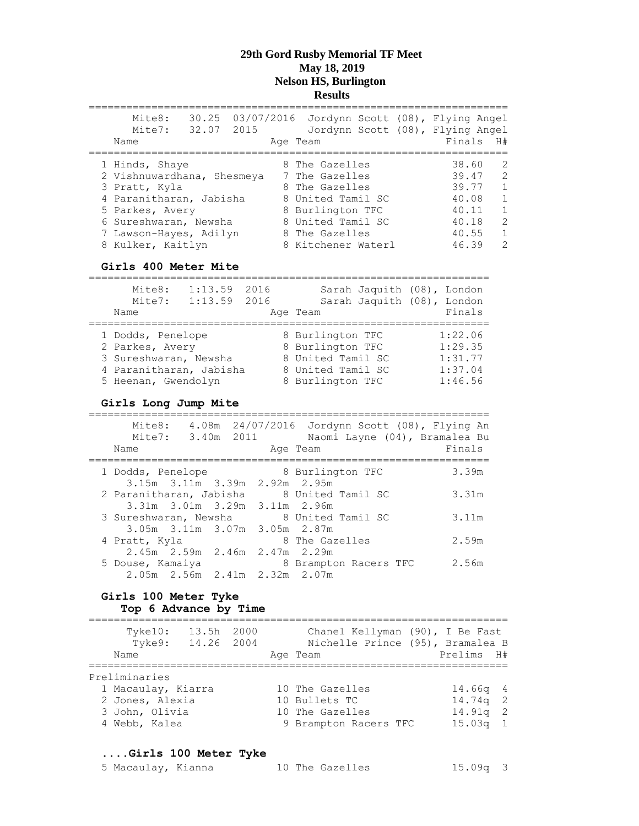| Mite8:<br>Mite7:           | 32.07 2015 |  | 30.25 03/07/2016 Jordynn Scott (08), Flying Angel |  | Jordynn Scott (08), Flying Angel |               |
|----------------------------|------------|--|---------------------------------------------------|--|----------------------------------|---------------|
| Name                       |            |  | Age Team                                          |  | Finals H#                        |               |
|                            |            |  |                                                   |  |                                  |               |
| 1 Hinds, Shaye             |            |  | 8 The Gazelles                                    |  | 38.60                            | 2             |
| 2 Vishnuwardhana, Shesmeya |            |  | 7 The Gazelles                                    |  | 39.47                            | $\mathcal{L}$ |
| 3 Pratt, Kyla              |            |  | 8 The Gazelles                                    |  | 39.77                            | $\mathbf{1}$  |
| 4 Paranitharan, Jabisha    |            |  | 8 United Tamil SC                                 |  | 40.08                            | $\mathbf{1}$  |
| 5 Parkes, Avery            |            |  | 8 Burlington TFC                                  |  | 40.11                            | $\mathbf{1}$  |
| 6 Sureshwaran, Newsha      |            |  | 8 United Tamil SC                                 |  | 40.18                            | $\mathcal{L}$ |
| 7 Lawson-Hayes, Adilyn     |            |  | 8 The Gazelles                                    |  | 40.55                            | $\mathbf{1}$  |
| 8 Kulker, Kaitlyn          |            |  | 8 Kitchener Waterl                                |  | 46.39                            | $\mathcal{P}$ |

#### **Girls 400 Meter Mite**

================================================================ Mite8: 1:13.59 2016 Sarah Jaquith (08), London Mite7: 1:13.59 2016 Sarah Jaquith (08), London Name Ream Age Team Readers Readers Rinals ================================================================ 1 Dodds, Penelope 8 Burlington TFC 1:22.06 2 Parkes, Avery 8 Burlington TFC 1:29.35 3 Sureshwaran, Newsha 8 United Tamil SC 1:31.77 4 Paranitharan, Jabisha 8 United Tamil SC 1:37.04

5 Heenan, Gwendolyn 8 Burlington TFC 1:46.56

#### **Girls Long Jump Mite**

| Mite8:<br>Name          | Mite7: 3.40m 2011                       |  | 4.08m  24/07/2016  Jordynn Scott (08), Flying An<br>Naomi Layne (04), Bramalea Bu<br>Age Team | Finals |
|-------------------------|-----------------------------------------|--|-----------------------------------------------------------------------------------------------|--------|
| 1 Dodds, Penelope       |                                         |  | 8 Burlington TFC                                                                              | 3.39m  |
| 2 Paranitharan, Jabisha | 3.15m 3.11m 3.39m 2.92m 2.95m           |  | 8 United Tamil SC                                                                             | 3.31m  |
| 3 Sureshwaran, Newsha   | 3.31m 3.01m 3.29m 3.11m 2.96m           |  | 8 United Tamil SC                                                                             | 3.11m  |
| 4 Pratt, Kyla           | $3.05m$ $3.11m$ $3.07m$ $3.05m$ $2.87m$ |  | 8 The Gazelles                                                                                | 2.59m  |
|                         | 2.45m 2.59m 2.46m 2.47m 2.29m           |  |                                                                                               |        |
| 5 Douse, Kamaiya        | 2.05m 2.56m 2.41m 2.32m 2.07m           |  | 8 Brampton Racers TFC                                                                         | 2.56m  |

#### **Girls 100 Meter Tyke Top 6 Advance by Time**

| Tyke10:<br>Tyke9:<br>Name | 13.5h 2000<br>14.26 2004 |  | Chanel Kellyman (90), I Be Fast<br>Nichelle Prince (95), Bramalea B<br>Age Team | Prelims H# |                |
|---------------------------|--------------------------|--|---------------------------------------------------------------------------------|------------|----------------|
| Preliminaries             |                          |  |                                                                                 |            |                |
| 1 Macaulay, Kiarra        |                          |  | 10 The Gazelles                                                                 | $14.66q$ 4 |                |
| 2 Jones, Alexia           |                          |  | 10 Bullets TC                                                                   | $14.74q$ 2 |                |
| 3 John, Olivia            |                          |  | 10 The Gazelles                                                                 | 14.91a     | $\overline{2}$ |
| 4 Webb, Kalea             |                          |  | 9 Brampton Racers TFC                                                           | $15.03a$ 1 |                |

#### **....Girls 100 Meter Tyke**

| 5 Macaulay, Kianna | 10 The Gazelles | $15.09q$ 3 |
|--------------------|-----------------|------------|
|--------------------|-----------------|------------|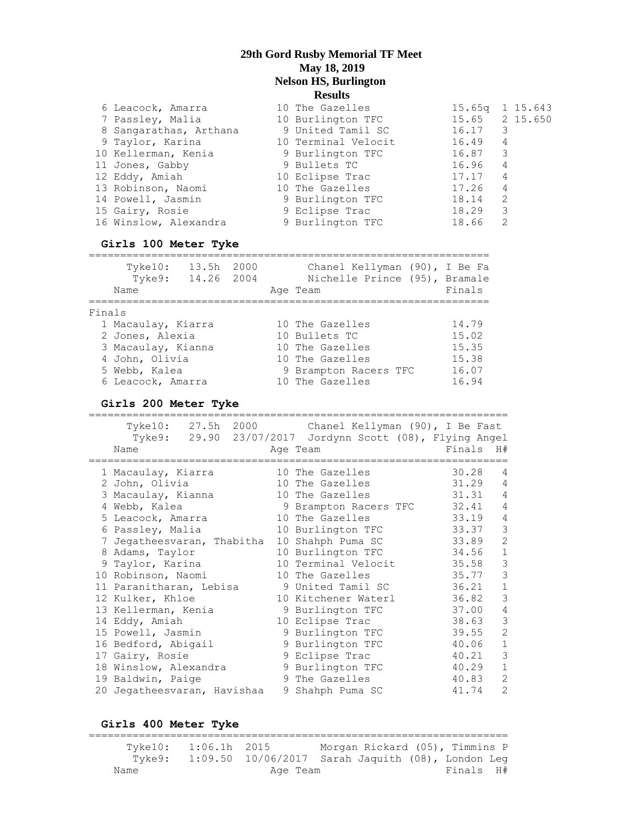| 6 Leacock, Amarra      | 10 The Gazelles     | 15.65q 1 15.643 |               |  |
|------------------------|---------------------|-----------------|---------------|--|
| 7 Passley, Malia       | 10 Burlington TFC   | 15.65 2 15.650  |               |  |
| 8 Sangarathas, Arthana | 9 United Tamil SC   | 16.17           | 3             |  |
| 9 Taylor, Karina       | 10 Terminal Velocit | 16.49           | 4             |  |
| 10 Kellerman, Kenia    | 9 Burlington TFC    | 16.87           | 3             |  |
| 11 Jones, Gabby        | 9 Bullets TC        | 16.96           | 4             |  |
| 12 Eddy, Amiah         | 10 Eclipse Trac     | 17.17           | 4             |  |
| 13 Robinson, Naomi     | 10 The Gazelles     | 17.26           | 4             |  |
| 14 Powell, Jasmin      | 9 Burlington TFC    | 18.14           | 2             |  |
| 15 Gairy, Rosie        | 9 Eclipse Trac      | 18.29           | 3             |  |
| 16 Winslow, Alexandra  | 9 Burlington TFC    | 18.66           | $\mathcal{P}$ |  |
|                        |                     |                 |               |  |

#### **Girls 100 Meter Tyke**

|        | Tyke10:<br>Tyke9:<br>Name | 13.5h<br>14.26 2004 | 2000 | Chanel Kellyman (90), I Be Fa<br>Nichelle Prince (95), Bramale<br>Age Team | Finals |
|--------|---------------------------|---------------------|------|----------------------------------------------------------------------------|--------|
| Finals |                           |                     |      |                                                                            |        |
|        | 1 Macaulay, Kiarra        |                     |      | 10 The Gazelles                                                            | 14.79  |
|        | 2 Jones, Alexia           |                     |      | 10 Bullets TC                                                              | 15.02  |
|        | 3 Macaulay, Kianna        |                     |      | 10 The Gazelles                                                            | 15.35  |
|        | 4 John, Olivia            |                     |      | 10 The Gazelles                                                            | 15.38  |
|        | 5 Webb, Kalea             |                     |      | 9 Brampton Racers TFC                                                      | 16.07  |
|        | 6 Leacock, Amarra         |                     |      | 10 The Gazelles                                                            | 16.94  |

#### **Girls 200 Meter Tyke**

=================================================================== Tyke10: 27.5h 2000 Chanel Kellyman (90), I Be Fast Tyke9: 29.90 23/07/2017 Jordynn Scott (08), Flying Angel Name and the Age Team and the Finals H# =================================================================== 1 Macaulay, Kiarra 10 The Gazelles 30.28 4 2 John, Olivia 10 The Gazelles 31.29 4 3 Macaulay, Kianna 10 The Gazelles 31.31 4 4 Webb, Kalea 9 Brampton Racers TFC 32.41 4 5 Leacock, Amarra 10 The Gazelles 33.19 4 6 Passley, Malia 10 Burlington TFC 33.37 3 7 Jegatheesvaran, Thabitha 10 Shahph Puma SC 33.89 2 8 Adams, Taylor 10 Burlington TFC 34.56 1 9 Taylor, Karina 10 Terminal Velocit 35.58 3 10 Robinson, Naomi 10 The Gazelles 35.77 3 11 Paranitharan, Lebisa 9 United Tamil SC 36.21 1 12 Kulker, Khloe 10 Kitchener Waterl 36.82 3 13 Kellerman, Kenia 9 Burlington TFC 37.00 4 14 Eddy, Amiah 10 Eclipse Trac 38.63 3 15 Powell, Jasmin 9 Burlington TFC 39.55 2 16 Bedford, Abigail 9 Burlington TFC 40.06 1 17 Gairy, Rosie 6 9 Bolipse Trac 61.21 3 18 Winslow, Alexandra (a) 9 Burlington TFC (40.29 1 19 Baldwin, Paige 3 9 The Gazelles 40.83 2 20 Jegatheesvaran, Havishaa 9 Shahph Puma SC 41.74 2

**Girls 400 Meter Tyke**

=================================================================== Tyke10: 1:06.1h 2015 Morgan Rickard (05), Timmins P Tyke9: 1:09.50 10/06/2017 Sarah Jaquith (08), London Leg Name **Age Team** Age Team Finals H#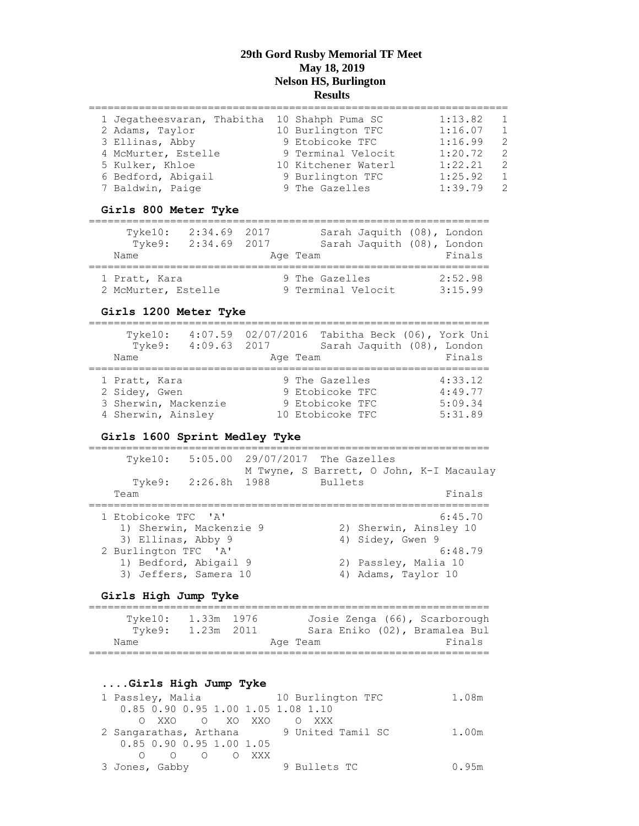| 1 Jegatheesvaran, Thabitha | 10 Shahph Puma SC   | 1:13.82 | $\overline{1}$ |
|----------------------------|---------------------|---------|----------------|
| 2 Adams, Taylor            | 10 Burlington TFC   | 1:16.07 | $\overline{1}$ |
| 3 Ellinas, Abby            | 9 Etobicoke TFC     | 1:16.99 | $\mathcal{P}$  |
| 4 McMurter, Estelle        | 9 Terminal Velocit  | 1:20.72 | $\mathcal{P}$  |
| 5 Kulker, Khloe            | 10 Kitchener Waterl | 1:22.21 | $\mathcal{P}$  |
| 6 Bedford, Abigail         | 9 Burlington TFC    | 1:25.92 | $\overline{1}$ |
| 7 Baldwin, Paige           | 9 The Gazelles      | 1:39.79 | $\overline{2}$ |
|                            |                     |         |                |

#### **Girls 800 Meter Tyke**

| Tyke10:<br>Tyke9:<br>Name | $2:34.69$ 2017<br>$2:34.69$ 2017 | Sarah Jaquith (08), London<br>Sarah Jaquith (08), London<br>Age Team | Finals  |
|---------------------------|----------------------------------|----------------------------------------------------------------------|---------|
| 1 Pratt, Kara             |                                  | 9 The Gazelles                                                       | 2:52.98 |
| 2 McMurter, Estelle       |                                  | 9 Terminal Velocit                                                   | 3:15.99 |

#### **Girls 1200 Meter Tyke**

| Tyke10:<br>Tyke9:              | $4:09.63$ 2017 |                                   | 4:07.59 02/07/2016 Tabitha Beck (06), York Uni<br>Sarah Jaquith (08), London |
|--------------------------------|----------------|-----------------------------------|------------------------------------------------------------------------------|
| Name                           |                | Age Team                          | Finals                                                                       |
|                                |                |                                   |                                                                              |
| 1 Pratt, Kara<br>2 Sidey, Gwen |                | 9 The Gazelles<br>9 Etobicoke TFC | 4:33.12<br>4:49.77                                                           |
| 3 Sherwin, Mackenzie           |                | 9 Etobicoke TFC                   | 5:09.34                                                                      |
| 4 Sherwin, Ainsley             |                | 10 Etobicoke TFC                  | 5:31.89                                                                      |

#### **Girls 1600 Sprint Medley Tyke**

| $T$ vke $10$ : |                                                                   |                                                                                           |  |         |                                 |                                                                                                                                       |
|----------------|-------------------------------------------------------------------|-------------------------------------------------------------------------------------------|--|---------|---------------------------------|---------------------------------------------------------------------------------------------------------------------------------------|
| Tyke9:         |                                                                   |                                                                                           |  |         |                                 |                                                                                                                                       |
| Team           |                                                                   |                                                                                           |  |         |                                 | Finals                                                                                                                                |
|                |                                                                   |                                                                                           |  |         |                                 | 6:45.70                                                                                                                               |
|                |                                                                   |                                                                                           |  |         |                                 |                                                                                                                                       |
|                |                                                                   |                                                                                           |  |         |                                 |                                                                                                                                       |
|                |                                                                   |                                                                                           |  |         |                                 | 6:48.79                                                                                                                               |
|                |                                                                   |                                                                                           |  |         |                                 |                                                                                                                                       |
|                |                                                                   |                                                                                           |  |         |                                 |                                                                                                                                       |
|                | 1 Etobicoke TFC 'A'<br>3) Ellinas, Abby 9<br>2 Burlington TFC 'A' | 2:26.8h 1988<br>1) Sherwin, Mackenzie 9<br>1) Bedford, Abigail 9<br>3) Jeffers, Samera 10 |  | Bullets | 5:05.00 29/07/2017 The Gazelles | M Twyne, S Barrett, O John, K-I Macaulay<br>2) Sherwin, Ainsley 10<br>4) Sidey, Gwen 9<br>2) Passley, Malia 10<br>4) Adams, Taylor 10 |

## **Girls High Jump Tyke**

| Tyke9: | Tyke10: 1.33m 1976<br>1.23m 2011 |          |  | Josie Zenga (66), Scarborough<br>Sara Eniko (02), Bramalea Bul |  |
|--------|----------------------------------|----------|--|----------------------------------------------------------------|--|
| Name   |                                  | Age Team |  | Finals                                                         |  |
|        |                                  |          |  |                                                                |  |

#### **....Girls High Jump Tyke**

| 1 Passley, Malia                   | 10 Burlington TFC                        | 1.08m |
|------------------------------------|------------------------------------------|-------|
| 0.85 0.90 0.95 1.00 1.05 1.08 1.10 |                                          |       |
| OXXO OXOXXO OXXX                   |                                          |       |
|                                    | 2 Sangarathas, Arthana 9 United Tamil SC | 1.00m |
| 0.85 0.90 0.95 1.00 1.05           |                                          |       |
| $O$ $O$ $O$ $O$ $XXX$              |                                          |       |
| 3 Jones, Gabby                     | 9 Bullets TC                             | 0.95m |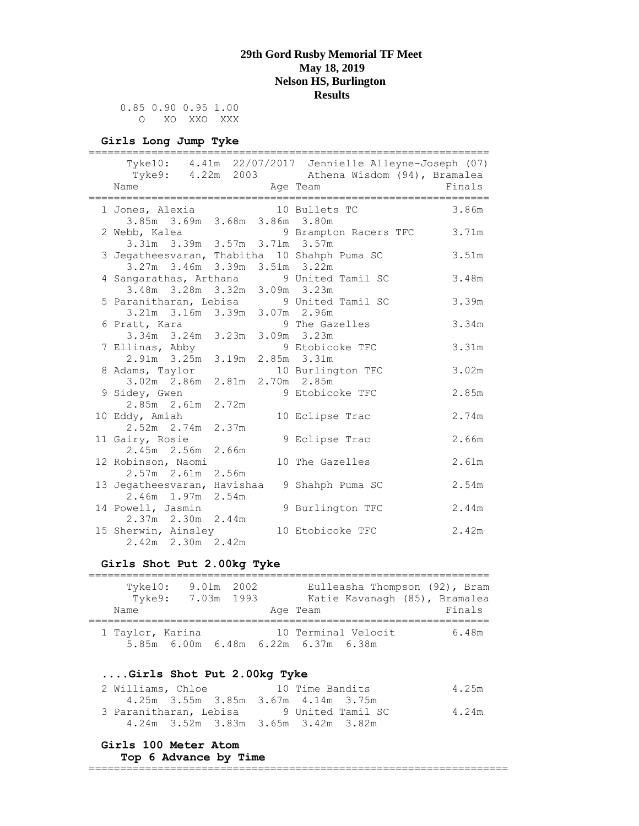0.85 0.90 0.95 1.00 O XO XXO XXX

#### **Girls Long Jump Tyke**

| =============================                                             |          | --------------------------------------                                                                   |        |
|---------------------------------------------------------------------------|----------|----------------------------------------------------------------------------------------------------------|--------|
|                                                                           |          | Tyke10: 4.41m 22/07/2017 Jennielle Alleyne-Joseph (07)<br>Tyke9: 4.22m 2003 Athena Wisdom (94), Bramalea |        |
| Name                                                                      | Age Team |                                                                                                          | Finals |
|                                                                           |          |                                                                                                          |        |
| 1 Jones, Alexia<br>3.85m 3.69m 3.68m 3.86m 3.80m                          |          | 10 Bullets TC                                                                                            | 3.86m  |
|                                                                           |          | 2 Webb, Kalea 9 Brampton Racers TFC 3.71m<br>3.31m 3.39m 3.57m 3.71m 3.57m                               |        |
|                                                                           |          |                                                                                                          | 3.51m  |
| 3 Jegatheesvaran, Thabitha 10 Shahph Puma SC                              |          |                                                                                                          |        |
| 3.27m 3.46m 3.39m 3.51m 3.22m                                             |          |                                                                                                          | 3.48m  |
| 4 Sangarathas, Arthana 9 United Tamil SC<br>3.48m 3.28m 3.32m 3.09m 3.23m |          |                                                                                                          |        |
|                                                                           |          |                                                                                                          |        |
| 5 Paranitharan, Lebisa 9 United Tamil SC<br>3.21m 3.16m 3.39m 3.07m 2.96m |          |                                                                                                          | 3.39m  |
|                                                                           |          |                                                                                                          | 3.34m  |
| 6 Pratt, Kara                                                             |          | 9 The Gazelles                                                                                           |        |
| 3.34m 3.24m 3.23m 3.09m 3.23m                                             |          |                                                                                                          |        |
| 7 Ellinas, Abby<br>2.91m 3.25m 3.19m                                      |          | 9 Etobicoke TFC                                                                                          | 3.31m  |
|                                                                           |          | 2.85m 3.31m                                                                                              |        |
| 8 Adams, Taylor 10 Burlington TFC<br>3.02m 2.86m 2.81m 2.70m 2.85m        |          |                                                                                                          | 3.02m  |
|                                                                           |          |                                                                                                          |        |
| 9 Sidey, Gwen                                                             |          | 9 Etobicoke TFC                                                                                          | 2.85m  |
| 2.85m 2.61m 2.72m                                                         |          |                                                                                                          |        |
| 10 Eddy, Amiah                                                            |          | 10 Eclipse Trac                                                                                          | 2.74m  |
| 2.52m 2.74m 2.37m                                                         |          |                                                                                                          |        |
| 11 Gairy, Rosie                                                           |          | 9 Eclipse Trac                                                                                           | 2.66m  |
| 2.45m 2.56m 2.66m                                                         |          |                                                                                                          |        |
| 12 Robinson, Naomi                                                        |          | 10 The Gazelles                                                                                          | 2.61m  |
| $2.57m$ $2.61m$ $2.56m$                                                   |          |                                                                                                          |        |
| 13 Jegatheesvaran, Havishaa                                               |          | 9 Shahph Puma SC                                                                                         | 2.54m  |
| 2.46m 1.97m 2.54m                                                         |          |                                                                                                          |        |
| 14 Powell, Jasmin<br>2.37m 2.30m 2.44m                                    |          | 9 Burlington TFC                                                                                         | 2.44m  |
| 15 Sherwin, Ainsley                                                       |          | 10 Etobicoke TFC                                                                                         | 2.42m  |
| 2.42m 2.30m 2.42m                                                         |          |                                                                                                          |        |
|                                                                           |          |                                                                                                          |        |

#### **Girls Shot Put 2.00kg Tyke**

| $T$ vke $10$ :<br>Tyke9:<br>Name | 9.01m 2002<br>7.03m 1993 | Eulleasha Thompson (92), Bram<br>Katie Kavanagh (85), Bramalea<br>Age Team | Finals |
|----------------------------------|--------------------------|----------------------------------------------------------------------------|--------|
| 1 Taylor, Karina                 |                          | 10 Terminal Velocit<br>5.85m 6.00m 6.48m 6.22m 6.37m 6.38m                 | 6.48m  |

#### **....Girls Shot Put 2.00kg Tyke**

| 2 Williams, Chloe      | 10 Time Bandits                     | 4.25m |
|------------------------|-------------------------------------|-------|
|                        | 4.25m 3.55m 3.85m 3.67m 4.14m 3.75m |       |
| 3 Paranitharan, Lebisa | 9 United Tamil SC                   | 4.24m |
|                        | 4.24m 3.52m 3.83m 3.65m 3.42m 3.82m |       |

#### **Girls 100 Meter Atom**

#### **Top 6 Advance by Time**

===================================================================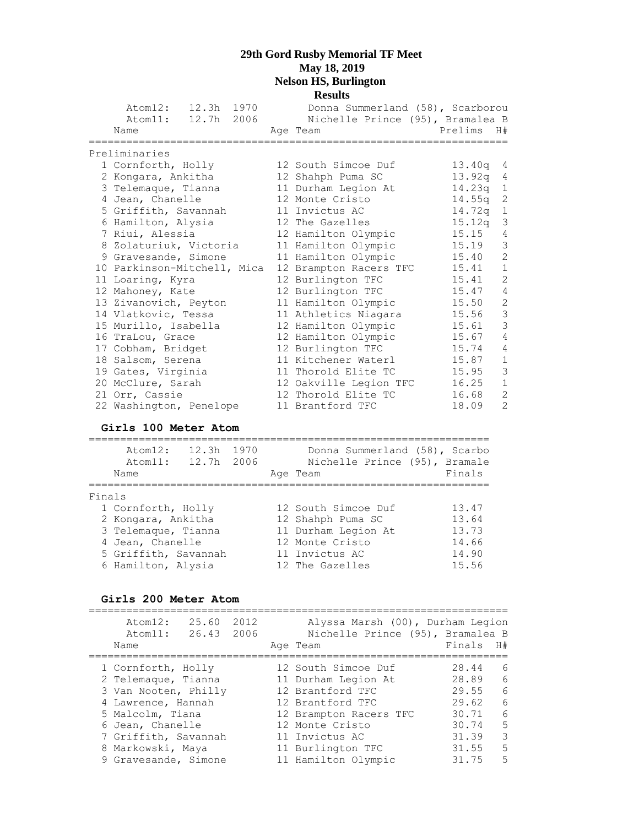|                             | <b>Results</b>                   |         |                |
|-----------------------------|----------------------------------|---------|----------------|
| Atom12: 12.3h 1970          | Donna Summerland (58), Scarborou |         |                |
| Atom11: 12.7h 2006          | Nichelle Prince (95), Bramalea B |         |                |
| Name                        | Age Team                         | Prelims | H#             |
| Preliminaries               |                                  |         |                |
| 1 Cornforth, Holly          | 12 South Simcoe Duf              | 13.40q  | $\overline{4}$ |
| 2 Kongara, Ankitha          | 12 Shahph Puma SC                | 13.92q  | 4              |
| 3 Telemaque, Tianna         | 11 Durham Legion At              | 14.23q  | $\mathbf{1}$   |
| 4 Jean, Chanelle            | 12 Monte Cristo                  | 14.55q  | $\sqrt{2}$     |
| 5 Griffith, Savannah        | 11 Invictus AC                   | 14.72q  | $\,1\,$        |
| 6 Hamilton, Alysia          | 12 The Gazelles                  | 15.12q  | $\mathfrak{Z}$ |
| 7 Riui, Alessia             | 12 Hamilton Olympic              | 15.15   | 4              |
| 8 Zolaturiuk, Victoria      | 11 Hamilton Olympic              | 15.19   | $\mathfrak{Z}$ |
| 9 Gravesande, Simone        | 11 Hamilton Olympic              | 15.40   | $\overline{c}$ |
| 10 Parkinson-Mitchell, Mica | 12 Brampton Racers TFC           | 15.41   | $\mathbf 1$    |
| 11 Loaring, Kyra            | 12 Burlington TFC                | 15.41   | $\overline{c}$ |
| 12 Mahoney, Kate            | 12 Burlington TFC                | 15.47   | $\overline{4}$ |
| 13 Zivanovich, Peyton       | 11 Hamilton Olympic              | 15.50   | $\sqrt{2}$     |
| 14 Vlatkovic, Tessa         | 11 Athletics Niagara             | 15.56   | $\mathcal{S}$  |
| 15 Murillo, Isabella        | 12 Hamilton Olympic              | 15.61   | $\mathcal{S}$  |
| 16 TraLou, Grace            | 12 Hamilton Olympic              | 15.67   | $\overline{4}$ |
| 17 Cobham, Bridget          | 12 Burlington TFC                | 15.74   | $\overline{4}$ |
| 18 Salsom, Serena           | 11 Kitchener Waterl              | 15.87   | $1\,$          |
| 19 Gates, Virginia          | 11 Thorold Elite TC              | 15.95   | $\mathsf 3$    |
| 20 McClure, Sarah           | 12 Oakville Legion TFC           | 16.25   | $\mathbf 1$    |
| 21 Orr, Cassie              | 12 Thorold Elite TC              | 16.68   | $\overline{2}$ |
| 22 Washington, Penelope     | 11 Brantford TFC                 | 18.09   | $\overline{c}$ |
|                             |                                  |         |                |

### **Girls 100 Meter Atom**

|        | 12.3h<br>Atom12:<br>12.7h 2006<br>Atom11:<br>Name | 1970 | Donna Summerland (58), Scarbo<br>Nichelle Prince (95), Bramale<br>Age Team | Finals |
|--------|---------------------------------------------------|------|----------------------------------------------------------------------------|--------|
|        |                                                   |      |                                                                            |        |
| Finals |                                                   |      |                                                                            |        |
|        | 1 Cornforth, Holly                                |      | 12 South Simcoe Duf                                                        | 13.47  |
|        | 2 Kongara, Ankitha                                |      | 12 Shahph Puma SC                                                          | 13.64  |
|        | 3 Telemaque, Tianna                               |      | 11 Durham Legion At                                                        | 13.73  |
|        | 4 Jean, Chanelle                                  |      | 12 Monte Cristo                                                            | 14.66  |
|        | 5 Griffith, Savannah                              |      | 11 Invictus AC                                                             | 14.90  |
|        | 6 Hamilton, Alysia                                |      | 12 The Gazelles                                                            | 15.56  |

### **Girls 200 Meter Atom**

| Atom12:<br>Atom11:<br>Name | 25.60<br>26.43 2006 | 2012 | Alyssa Marsh (00), Durham Legion<br>Nichelle Prince (95), Bramalea B<br>Age Team | Finals | H#              |
|----------------------------|---------------------|------|----------------------------------------------------------------------------------|--------|-----------------|
| 1 Cornforth, Holly         |                     |      | 12 South Simcoe Duf                                                              | 28.44  | $6\overline{6}$ |
| 2 Telemaque, Tianna        |                     |      | 11 Durham Legion At                                                              | 28.89  | 6               |
| 3 Van Nooten, Philly       |                     |      | 12 Brantford TFC                                                                 | 29.55  | 6               |
| 4 Lawrence, Hannah         |                     |      | 12 Brantford TFC                                                                 | 29.62  | 6               |
| 5 Malcolm, Tiana           |                     |      | 12 Brampton Racers TFC                                                           | 30.71  | $6\overline{6}$ |
| 6 Jean, Chanelle           |                     |      | 12 Monte Cristo                                                                  | 30.74  | -5              |
| 7 Griffith, Savannah       |                     |      | 11 Invictus AC                                                                   | 31.39  | 3               |
| 8 Markowski, Maya          |                     |      | 11 Burlington TFC                                                                | 31.55  | 5               |
| 9 Gravesande, Simone       |                     |      | 11 Hamilton Olympic                                                              | 31.75  | 5               |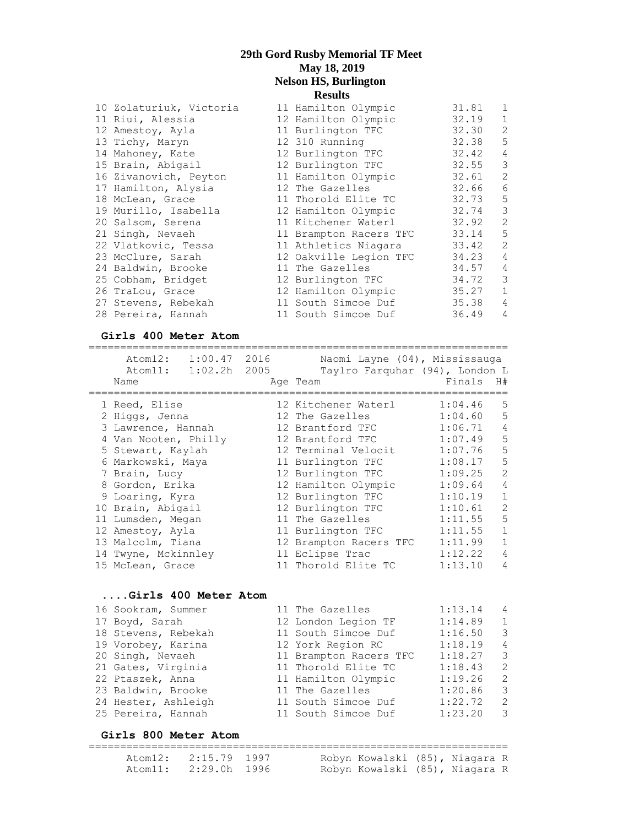|                                                                                                                                                                                                                                                                                                                                                                                                                           | 31.81                                                                                                                                                                                                                                                                                                                                                                                                                               | $\overline{1}$             |
|---------------------------------------------------------------------------------------------------------------------------------------------------------------------------------------------------------------------------------------------------------------------------------------------------------------------------------------------------------------------------------------------------------------------------|-------------------------------------------------------------------------------------------------------------------------------------------------------------------------------------------------------------------------------------------------------------------------------------------------------------------------------------------------------------------------------------------------------------------------------------|----------------------------|
|                                                                                                                                                                                                                                                                                                                                                                                                                           | 32.19                                                                                                                                                                                                                                                                                                                                                                                                                               | $\overline{1}$             |
|                                                                                                                                                                                                                                                                                                                                                                                                                           | 32.30                                                                                                                                                                                                                                                                                                                                                                                                                               | 2                          |
|                                                                                                                                                                                                                                                                                                                                                                                                                           | 32.38                                                                                                                                                                                                                                                                                                                                                                                                                               | $5^{\circ}$                |
|                                                                                                                                                                                                                                                                                                                                                                                                                           | 32.42                                                                                                                                                                                                                                                                                                                                                                                                                               | $\overline{4}$             |
|                                                                                                                                                                                                                                                                                                                                                                                                                           | 32.55                                                                                                                                                                                                                                                                                                                                                                                                                               | $\overline{\mathbf{3}}$    |
|                                                                                                                                                                                                                                                                                                                                                                                                                           | 32.61                                                                                                                                                                                                                                                                                                                                                                                                                               | $\overline{\phantom{0}}^2$ |
|                                                                                                                                                                                                                                                                                                                                                                                                                           | 32.66                                                                                                                                                                                                                                                                                                                                                                                                                               | $6\overline{6}$            |
|                                                                                                                                                                                                                                                                                                                                                                                                                           | $32.73$ 5                                                                                                                                                                                                                                                                                                                                                                                                                           |                            |
|                                                                                                                                                                                                                                                                                                                                                                                                                           | 32.74 3                                                                                                                                                                                                                                                                                                                                                                                                                             |                            |
|                                                                                                                                                                                                                                                                                                                                                                                                                           | 32.92                                                                                                                                                                                                                                                                                                                                                                                                                               | $\overline{\phantom{0}}$   |
|                                                                                                                                                                                                                                                                                                                                                                                                                           | 33.14                                                                                                                                                                                                                                                                                                                                                                                                                               | $5^{\circ}$                |
|                                                                                                                                                                                                                                                                                                                                                                                                                           | 33.42                                                                                                                                                                                                                                                                                                                                                                                                                               | $\overline{\phantom{0}}^2$ |
|                                                                                                                                                                                                                                                                                                                                                                                                                           | 34.23                                                                                                                                                                                                                                                                                                                                                                                                                               | $\overline{4}$             |
|                                                                                                                                                                                                                                                                                                                                                                                                                           | 34.57                                                                                                                                                                                                                                                                                                                                                                                                                               | $\overline{4}$             |
|                                                                                                                                                                                                                                                                                                                                                                                                                           | 34.72                                                                                                                                                                                                                                                                                                                                                                                                                               | $\overline{\mathbf{3}}$    |
|                                                                                                                                                                                                                                                                                                                                                                                                                           | $35.27$ 1                                                                                                                                                                                                                                                                                                                                                                                                                           |                            |
|                                                                                                                                                                                                                                                                                                                                                                                                                           | 35.38                                                                                                                                                                                                                                                                                                                                                                                                                               | $\overline{4}$             |
|                                                                                                                                                                                                                                                                                                                                                                                                                           | 36.49                                                                                                                                                                                                                                                                                                                                                                                                                               | $\overline{4}$             |
| 10 Zolaturiuk, Victoria<br>11 Riui, Alessia<br>12 Amestoy, Ayla<br>13 Tichy, Maryn<br>14 Mahoney, Kate<br>15 Brain, Abigail<br>16 Zivanovich, Peyton<br>17 Hamilton, Alysia<br>18 McLean, Grace<br>19 Murillo, Isabella<br>20 Salsom, Serena<br>21 Singh, Nevaeh<br>22 Vlatkovic, Tessa<br>23 McClure, Sarah<br>24 Baldwin, Brooke<br>25 Cobham, Bridget<br>26 TraLou, Grace<br>27 Stevens, Rebekah<br>28 Pereira, Hannah | 11 Hamilton Olympic<br>12 Hamilton Olympic<br>11 Burlington TFC<br>12 310 Running<br>12 Burlington TFC<br>12 Burlington TFC<br>11 Hamilton Olympic<br>12 The Gazelles<br>11 Thorold Elite TC<br>12 Hamilton Olympic<br>11 Kitchener Waterl<br>11 Brampton Racers TFC<br>11 Athletics Niagara<br>12 Oakville Legion TFC<br>11 The Gazelles<br>12 Burlington TFC<br>12 Hamilton Olympic<br>11 South Simcoe Duf<br>11 South Simcoe Duf |                            |

#### **Girls 400 Meter Atom**

=================================================================== Atom12: 1:00.47 2016 Naomi Layne (04), Mississauga Atom11: 1:02.2h 2005 Taylro Farquhar (94), London L Name Age Team Finals H# =================================================================== 1 Reed, Elise 12 Kitchener Waterl 1:04.46 5 2 Higgs, Jenna 12 The Gazelles 1:04.60 5 3 Lawrence, Hannah 12 Brantford TFC 1:06.71 4 4 Van Nooten, Philly 12 Brantford TFC 1:07.49 5 5 Stewart, Kaylah 12 Terminal Velocit 1:07.76 5 6 Markowski, Maya 11 Burlington TFC 1:08.17 5 7 Brain, Lucy 12 Burlington TFC 1:09.25 2 8 Gordon, Erika 12 Hamilton Olympic 1:09.64 4 9 Loaring, Kyra 12 Burlington TFC 1:10.19 1 10 Brain, Abigail 12 Burlington TFC 1:10.61 2 11 Lumsden, Megan 11 The Gazelles 1:11.55 5 12 Amestoy, Ayla 11 Burlington TFC 1:11.55 1 13 Malcolm, Tiana 12 Brampton Racers TFC 1:11.99 1 14 Twyne, Mckinnley 11 Eclipse Trac 1:12.22 4 15 McLean, Grace 11 Thorold Elite TC 1:13.10 4 **....Girls 400 Meter Atom** 16 Sookram, Summer 11 The Gazelles 1:13.14 4 17 Boyd, Sarah 12 London Legion TF 1:14.89 1 18 Stevens, Rebekah 11 South Simcoe Duf 1:16.50 3 19 Vorobey, Karina 12 York Region RC 1:18.19 4 20 Singh, Nevaeh 11 Brampton Racers TFC 1:18.27 3 21 Gates, Virginia 11 Thorold Elite TC 1:18.43 2 22 Ptaszek, Anna 11 Hamilton Olympic 1:19.26 2 23 Baldwin, Brooke 11 The Gazelles 1:20.86 3 24 Hester, Ashleigh 11 South Simcoe Duf 1:22.72 2 25 Pereira, Hannah 11 South Simcoe Duf 1:23.20 3 **Girls 800 Meter Atom**

#### =================================================================== Atom12: 2:15.79 1997 Robyn Kowalski (85), Niagara R Atom11: 2:29.0h 1996 Robyn Kowalski (85), Niagara R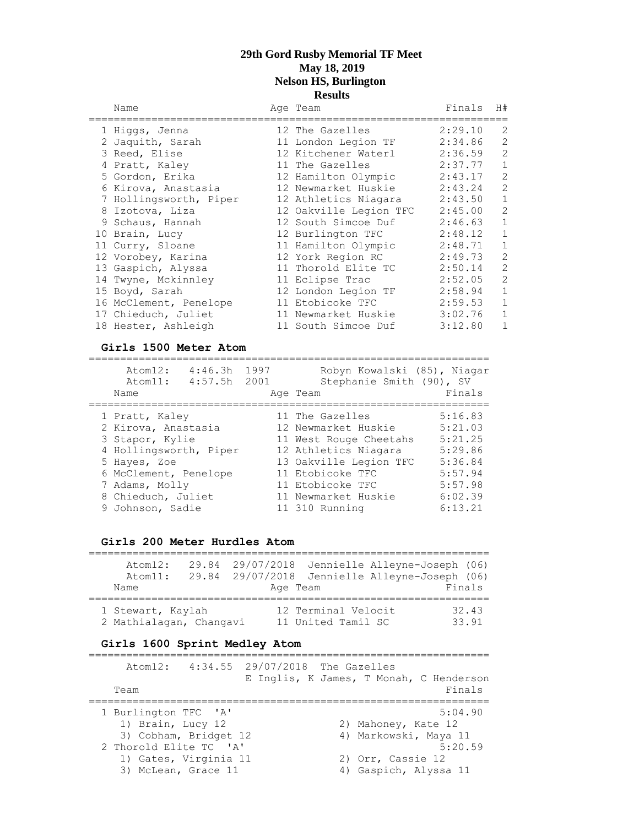| Name                   | Age Team               | Finals  | H#                       |
|------------------------|------------------------|---------|--------------------------|
| 1 Higgs, Jenna         | 12 The Gazelles        | 2:29.10 | 2                        |
| 2 Jaquith, Sarah       | 11 London Legion TF    | 2:34.86 | $\mathbf{2}$             |
| 3 Reed, Elise          | 12 Kitchener Waterl    | 2:36.59 | $\overline{c}$           |
| 4 Pratt, Kaley         | 11 The Gazelles        | 2:37.77 | $1\,$                    |
| 5 Gordon, Erika        | 12 Hamilton Olympic    | 2:43.17 | $\mathbf{2}$             |
| 6 Kirova, Anastasia    | 12 Newmarket Huskie    | 2:43.24 | $\overline{c}$           |
| 7 Hollingsworth, Piper | 12 Athletics Niagara   | 2:43.50 | $1\,$                    |
| 8 Izotova, Liza        | 12 Oakville Legion TFC | 2:45.00 | $\overline{\phantom{0}}$ |
| 9 Schaus, Hannah       | 12 South Simcoe Duf    | 2:46.63 | $\mathbf 1$              |
| 10 Brain, Lucy         | 12 Burlington TFC      | 2:48.12 | $1\,$                    |
| 11 Curry, Sloane       | 11 Hamilton Olympic    | 2:48.71 | $1\,$                    |
| 12 Vorobey, Karina     | 12 York Region RC      | 2:49.73 | $\overline{c}$           |
| 13 Gaspich, Alyssa     | 11 Thorold Elite TC    | 2:50.14 | $\overline{c}$           |
| 14 Twyne, Mckinnley    | 11 Eclipse Trac        | 2:52.05 | $\overline{c}$           |
| 15 Boyd, Sarah         | 12 London Legion TF    | 2:58.94 | $1\,$                    |
| 16 McClement, Penelope | 11 Etobicoke TFC       | 2:59.53 | $\mathbf 1$              |
| 17 Chieduch, Juliet    | 11 Newmarket Huskie    | 3:02.76 | $\mathbf 1$              |
| 18 Hester, Ashleigh    | 11 South Simcoe Duf    | 3:12.80 | $\mathbf 1$              |

#### **Girls 1500 Meter Atom**

| Atom12:<br>Atom11:<br>Name | 4:46.3h<br>4:57.5h | 1997<br>2001 | Robyn Kowalski (85), Niagar<br>Stephanie Smith (90), SV | Finals  |
|----------------------------|--------------------|--------------|---------------------------------------------------------|---------|
|                            |                    |              | Age Team                                                |         |
| 1 Pratt, Kaley             |                    |              | 11 The Gazelles                                         | 5:16.83 |
|                            |                    |              | 12 Newmarket Huskie                                     | 5:21.03 |
| 2 Kirova, Anastasia        |                    |              |                                                         |         |
| 3 Stapor, Kylie            |                    |              | 11 West Rouge Cheetahs                                  | 5:21.25 |
| 4 Hollingsworth, Piper     |                    |              | 12 Athletics Niagara                                    | 5:29.86 |
| 5 Hayes, Zoe               |                    |              | 13 Oakville Legion TFC                                  | 5:36.84 |
| 6 McClement, Penelope      |                    |              | 11 Etobicoke TFC                                        | 5:57.94 |
| 7 Adams, Molly             |                    |              | 11 Etobicoke TFC                                        | 5:57.98 |
| 8 Chieduch, Juliet         |                    |              | 11 Newmarket Huskie                                     | 6:02.39 |
| 9 Johnson, Sadie           |                    |              | 11 310 Running                                          | 6:13.21 |

#### **Girls 200 Meter Hurdles Atom**

|      | Atom12:                 | 29.84 29/07/2018 |                     | Jennielle Alleyne-Joseph (06)                  |        |
|------|-------------------------|------------------|---------------------|------------------------------------------------|--------|
|      | Atom11:                 |                  |                     | 29.84 29/07/2018 Jennielle Alleyne-Joseph (06) |        |
| Name |                         |                  | Age Team            |                                                | Finals |
|      |                         |                  |                     |                                                |        |
|      | 1 Stewart, Kaylah       |                  | 12 Terminal Velocit |                                                | 32.43  |
|      | 2 Mathialagan, Changavi |                  | 11 United Tamil SC  |                                                | 33.91  |

# **Girls 1600 Sprint Medley Atom**

|                        |                       | Atom12: 4:34.55 29/07/2018 The Gazelles |                       | E Inglis, K James, T Monah, C Henderson |
|------------------------|-----------------------|-----------------------------------------|-----------------------|-----------------------------------------|
| Team                   |                       |                                         |                       | Finals                                  |
| 1 Burlington TFC 'A'   |                       |                                         |                       | 5:04.90                                 |
| 1) Brain, Lucy 12      |                       |                                         | 2) Mahoney, Kate 12   |                                         |
|                        | 3) Cobham, Bridget 12 |                                         | 4) Markowski, Maya 11 |                                         |
| 2 Thorold Elite TC 'A' |                       |                                         |                       | 5:20.59                                 |
|                        | 1) Gates, Virginia 11 |                                         | 2) Orr, Cassie 12     |                                         |
| 3) McLean, Grace 11    |                       |                                         | 4) Gaspich, Alyssa 11 |                                         |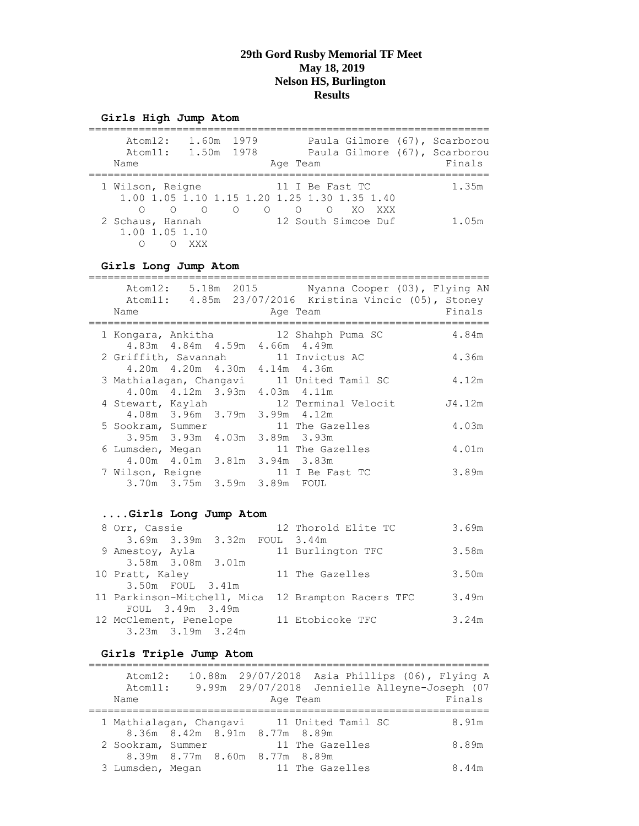#### **Girls High Jump Atom**

| 1.60m<br>Atom12:<br>1979<br>Paula Gilmore (67), Scarborou<br>1.50m 1978<br>Paula Gilmore (67), Scarborou<br>Atom11:<br>Name<br>Age Team                   | Finals |
|-----------------------------------------------------------------------------------------------------------------------------------------------------------|--------|
| 1 Wilson, Reigne<br>11 I Be Fast TC<br>1.00 1.05 1.10 1.15 1.20 1.25 1.30 1.35 1.40                                                                       | 1.35m  |
| $\bigcirc$<br>$\bigcirc$<br>$\circ$<br>XO.<br>$\circ$<br>$\circ$<br>$\bigcirc$<br>XXX<br>12 South Simcoe Duf<br>2 Schaus, Hannah<br>1.00 1.05 1.10<br>XXX | 1.05m  |

#### **Girls Long Jump Atom**

| Name               | Atom12: 5.18m 2015                |  | Nyanna Cooper (03), Flying AN<br>Atom11: 4.85m 23/07/2016 Kristina Vincic (05), Stoney<br>Age Team | Finals |
|--------------------|-----------------------------------|--|----------------------------------------------------------------------------------------------------|--------|
| 1 Kongara, Ankitha | 4.83m  4.84m  4.59m  4.66m  4.49m |  | 12 Shahph Puma SC                                                                                  | 4.84m  |
|                    | 4.20m  4.20m  4.30m  4.14m  4.36m |  | 2 Griffith, Savannah 11 Invictus AC                                                                | 4.36m  |
|                    | 4.00m  4.12m  3.93m  4.03m  4.11m |  | 3 Mathialagan, Changavi 11 United Tamil SC                                                         | 4.12m  |
| 4 Stewart, Kaylah  | 4.08m 3.96m 3.79m 3.99m 4.12m     |  | 12 Terminal Velocit                                                                                | J4.12m |
| 5 Sookram, Summer  | 3.95m 3.93m 4.03m 3.89m 3.93m     |  | 11 The Gazelles                                                                                    | 4.03m  |
| 6 Lumsden, Megan   | 4.00m  4.01m  3.81m  3.94m  3.83m |  | 11 The Gazelles                                                                                    | 4.01m  |
| 7 Wilson, Reigne   | 3.70m 3.75m 3.59m 3.89m FOUL      |  | 11 I Be Fast TC                                                                                    | 3.89m  |

### **....Girls Long Jump Atom**

| 8 Orr, Cassie               |                   |                              | 12 Thorold Elite TC    | 3.69m |
|-----------------------------|-------------------|------------------------------|------------------------|-------|
|                             |                   | 3.69m 3.39m 3.32m FOUL 3.44m |                        |       |
| 9 Amestoy, Ayla             |                   |                              | 11 Burlington TFC      | 3.58m |
|                             | 3.58m 3.08m 3.01m |                              |                        |       |
| 10 Pratt, Kaley             |                   |                              | 11 The Gazelles        | 3.50m |
|                             | 3.50m FOUL 3.41m  |                              |                        |       |
| 11 Parkinson-Mitchell, Mica |                   |                              | 12 Brampton Racers TFC | 3.49m |
|                             | FOUL 3.49m 3.49m  |                              |                        |       |
| 12 McClement, Penelope      |                   |                              | 11 Etobicoke TFC       | 3.24m |
|                             | 3.23m 3.19m 3.24m |                              |                        |       |

### **Girls Triple Jump Atom**

| Atom12:<br>Atom11:<br>Name |                               | 10.88m 29/07/2018 Asia Phillips (06), Flying A<br>9.99m 29/07/2018 Jennielle Alleyne-Joseph (07<br>Age Team | Finals |
|----------------------------|-------------------------------|-------------------------------------------------------------------------------------------------------------|--------|
|                            | 8.36m 8.42m 8.91m 8.77m 8.89m | 1 Mathialagan, Changavi 11 United Tamil SC                                                                  | 8.91m  |
| 2 Sookram, Summer          | 8.39m 8.77m 8.60m 8.77m 8.89m | 11 The Gazelles                                                                                             | 8.89m  |
| 3 Lumsden, Megan           |                               | 11 The Gazelles                                                                                             | 8.44m  |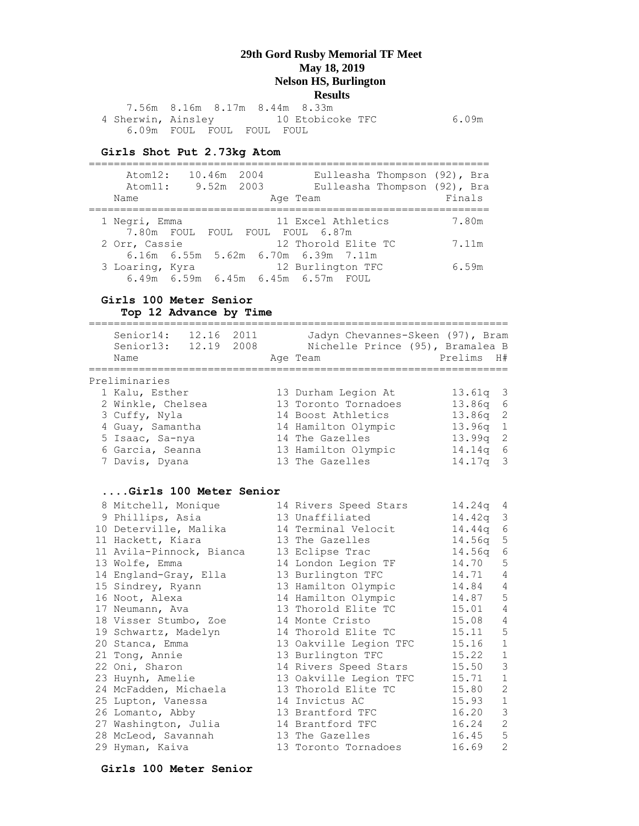7.56m 8.16m 8.17m 8.44m 8.33m 4 Sherwin, Ainsley 10 Etobicoke TFC 6.09m 6.09m FOUL FOUL FOUL FOUL

#### **Girls Shot Put 2.73kg Atom**

================================================================ Atom12: 10.46m 2004 Eulleasha Thompson (92), Bra Atom11: 9.52m 2003 Eulleasha Thompson (92), Bra Name Research Age Team Research Rinals ================================================================ 1 Negri, Emma 11 Excel Athletics 7.80m 7.80m FOUL FOUL FOUL FOUL 6.87m 2 Orr, Cassie 12 Thorold Elite TC 7.11m 6.16m 6.55m 5.62m 6.70m 6.39m 7.11m 3 Loaring, Kyra 12 Burlington TFC 6.59m 6.49m 6.59m 6.45m 6.45m 6.57m FOUL

#### **Girls 100 Meter Senior Top 12 Advance by Time**

| ====================================                                                                                              |  | ============================                                                                                                                          |                                                                    |                                                                         |
|-----------------------------------------------------------------------------------------------------------------------------------|--|-------------------------------------------------------------------------------------------------------------------------------------------------------|--------------------------------------------------------------------|-------------------------------------------------------------------------|
| Senior14: 12.16 2011<br>Name                                                                                                      |  | Jadyn Chevannes-Skeen (97), Bram<br>Senior13: 12.19 2008 Nichelle Prince (95), Bramalea B<br>Age Team                                                 | Prelims<br>---------------                                         | H#                                                                      |
| Preliminaries                                                                                                                     |  |                                                                                                                                                       |                                                                    |                                                                         |
| 1 Kalu, Esther<br>2 Winkle, Chelsea<br>3 Cuffy, Nyla<br>4 Guay, Samantha<br>5 Isaac, Sa-nya<br>6 Garcia, Seanna<br>7 Davis, Dyana |  | 13 Durham Legion At<br>13 Toronto Tornadoes<br>14 Boost Athletics<br>14 Hamilton Olympic<br>14 The Gazelles<br>13 Hamilton Olympic<br>13 The Gazelles | 13.61q<br>13.86q<br>13.86q<br>13.96q<br>13.99q<br>14.14q<br>14.17q | 3<br>$\epsilon$<br>$\sqrt{2}$<br>$1\,$<br>$\sqrt{2}$<br>$\epsilon$<br>3 |
| Girls 100 Meter Senior                                                                                                            |  |                                                                                                                                                       |                                                                    |                                                                         |
| 8 Mitchell, Monique                                                                                                               |  | 14 Rivers Speed Stars                                                                                                                                 | 14.24q                                                             | 4                                                                       |
| 9 Phillips, Asia                                                                                                                  |  | 13 Unaffiliated                                                                                                                                       | 14.42q                                                             | $\mathcal{E}$                                                           |
| 10 Deterville, Malika                                                                                                             |  | 14 Terminal Velocit                                                                                                                                   | 14.44q                                                             | $\epsilon$                                                              |
| 11 Hackett, Kiara                                                                                                                 |  | 13 The Gazelles                                                                                                                                       | 14.56q                                                             | $\mathbb S$                                                             |
| 11 Avila-Pinnock, Bianca                                                                                                          |  | 13 Eclipse Trac                                                                                                                                       | 14.56q                                                             | $\sqrt{6}$                                                              |
| 13 Wolfe, Emma                                                                                                                    |  | 14 London Legion TF                                                                                                                                   | 14.70                                                              | 5                                                                       |
| 14 England-Gray, Ella                                                                                                             |  | 13 Burlington TFC                                                                                                                                     | 14.71                                                              | 4                                                                       |
| 15 Sindrey, Ryann                                                                                                                 |  | 13 Hamilton Olympic                                                                                                                                   | 14.84                                                              | 4                                                                       |
| 16 Noot, Alexa                                                                                                                    |  | 14 Hamilton Olympic                                                                                                                                   | 14.87                                                              | 5                                                                       |
| 17 Neumann, Ava                                                                                                                   |  | 13 Thorold Elite TC                                                                                                                                   | 15.01                                                              | $\sqrt{4}$                                                              |
| 18 Visser Stumbo, Zoe                                                                                                             |  | 14 Monte Cristo                                                                                                                                       | 15.08                                                              | $\sqrt{4}$                                                              |
| 19 Schwartz, Madelyn                                                                                                              |  | 14 Thorold Elite TC                                                                                                                                   | 15.11                                                              | $\mathbb S$                                                             |
| 20 Stanca, Emma                                                                                                                   |  | 13 Oakville Legion TFC                                                                                                                                | 15.16                                                              | $\mathbf 1$                                                             |
| 21 Tong, Annie                                                                                                                    |  | 13 Burlington TFC                                                                                                                                     | 15.22                                                              | $\mathbf 1$                                                             |
| 22 Oni, Sharon                                                                                                                    |  | 14 Rivers Speed Stars                                                                                                                                 | 15.50                                                              | $\mathsf 3$<br>$\mathbbm{1}$                                            |
| 23 Huynh, Amelie                                                                                                                  |  | 13 Oakville Legion TFC<br>13 Thorold Elite TC                                                                                                         | 15.71<br>15.80                                                     | $\overline{c}$                                                          |
| 24 McFadden, Michaela                                                                                                             |  | 14 Invictus AC                                                                                                                                        | 15.93                                                              | $1\,$                                                                   |
| 25 Lupton, Vanessa<br>26 Lomanto, Abby                                                                                            |  | 13 Brantford TFC                                                                                                                                      | 16.20                                                              | $\mathsf 3$                                                             |
| 27 Washington, Julia                                                                                                              |  | 14 Brantford TFC                                                                                                                                      | 16.24                                                              | $\mathbf{2}$                                                            |
| 28 McLeod, Savannah                                                                                                               |  | 13 The Gazelles                                                                                                                                       | 16.45                                                              | $\overline{5}$                                                          |
| 29 Hyman, Kaiva                                                                                                                   |  | 13 Toronto Tornadoes                                                                                                                                  | 16.69                                                              | $\overline{c}$                                                          |
|                                                                                                                                   |  |                                                                                                                                                       |                                                                    |                                                                         |

#### **Girls 100 Meter Senior**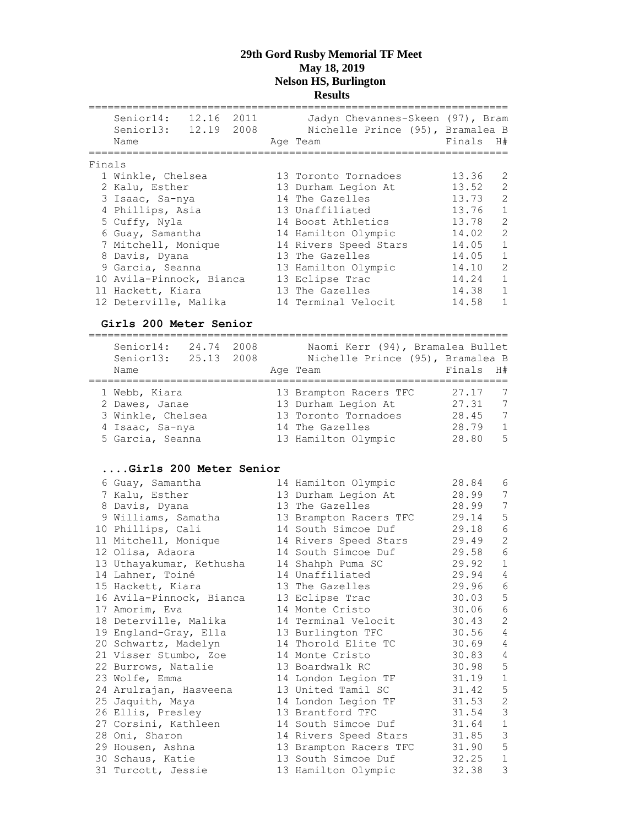|        | Senior14:<br>Senior13: 12.19<br>Name | 12.16 2011 | 2008 | Jadyn Chevannes-Skeen (97), Bram<br>Nichelle Prince (95), Bramalea B<br>Age Team | Finals | H#             |
|--------|--------------------------------------|------------|------|----------------------------------------------------------------------------------|--------|----------------|
| Finals |                                      |            |      |                                                                                  |        |                |
|        | 1 Winkle, Chelsea                    |            |      | 13 Toronto Tornadoes                                                             | 13.36  | 2              |
|        | 2 Kalu, Esther                       |            |      | 13 Durham Legion At                                                              | 13.52  | 2              |
|        | 3 Isaac, Sa-nya                      |            |      | 14 The Gazelles                                                                  | 13.73  | $\overline{2}$ |
|        | 4 Phillips, Asia                     |            |      | 13 Unaffiliated                                                                  | 13.76  | $\mathbf{1}$   |
|        | 5 Cuffy, Nyla                        |            |      | 14 Boost Athletics                                                               | 13.78  | 2              |
|        | 6 Guay, Samantha                     |            |      | 14 Hamilton Olympic                                                              | 14.02  | 2              |
|        | 7 Mitchell, Monique                  |            |      | 14 Rivers Speed Stars                                                            | 14.05  | $\mathbf{1}$   |
|        | 8 Davis, Dyana                       |            |      | 13 The Gazelles                                                                  | 14.05  | $\mathbf{1}$   |
|        | 9 Garcia, Seanna                     |            |      | 13 Hamilton Olympic                                                              | 14.10  | 2              |
|        | 10 Avila-Pinnock, Bianca             |            |      | 13 Eclipse Trac                                                                  | 14.24  | $\mathbf{1}$   |
|        | 11 Hackett, Kiara                    |            |      | 13 The Gazelles                                                                  | 14.38  | $\mathbf{1}$   |
|        | 12 Deterville, Malika                |            |      | 14 Terminal Velocit                                                              | 14.58  | 1              |
|        |                                      |            |      |                                                                                  |        |                |

### **Girls 200 Meter Senior**

| Senior14:<br>Senior13:<br>Name | 24.74 2008<br>25.13 2008 |  | Naomi Kerr (94), Bramalea Bullet<br>Nichelle Prince (95), Bramalea B<br>Age Team | Finals H# |                 |
|--------------------------------|--------------------------|--|----------------------------------------------------------------------------------|-----------|-----------------|
| 1 Webb, Kiara                  |                          |  | 13 Brampton Racers TFC                                                           | 27.17     | 7               |
|                                |                          |  |                                                                                  |           |                 |
| 2 Dawes, Janae                 |                          |  | 13 Durham Legion At                                                              | 27.31     | 7               |
| 3 Winkle, Chelsea              |                          |  | 13 Toronto Tornadoes                                                             | 28.45     | 7               |
| 4 Isaac, Sa-nya                |                          |  | 14 The Gazelles                                                                  | 28.79     | $\mathbf{1}$    |
| 5 Garcia, Seanna               |                          |  | 13 Hamilton Olympic                                                              | 28.80     | $5\overline{2}$ |

### **....Girls 200 Meter Senior**

| 6 Guay, Samantha         | 14 Hamilton Olympic    | 28.84 | 6              |
|--------------------------|------------------------|-------|----------------|
| 7 Kalu, Esther           | 13 Durham Legion At    | 28.99 | 7              |
| 8 Davis, Dyana           | 13 The Gazelles        | 28.99 | 7              |
| 9 Williams, Samatha      | 13 Brampton Racers TFC | 29.14 | 5              |
| 10 Phillips, Cali        | 14 South Simcoe Duf    | 29.18 | $\epsilon$     |
| 11 Mitchell, Monique     | 14 Rivers Speed Stars  | 29.49 | $\mathbf{2}$   |
| 12 Olisa, Adaora         | 14 South Simcoe Duf    | 29.58 | $\epsilon$     |
| 13 Uthayakumar, Kethusha | 14 Shahph Puma SC      | 29.92 | $1\,$          |
| 14 Lahner, Toiné         | 14 Unaffiliated        | 29.94 | 4              |
| 15 Hackett, Kiara        | 13 The Gazelles        | 29.96 | $\epsilon$     |
| 16 Avila-Pinnock, Bianca | 13 Eclipse Trac        | 30.03 | 5              |
| 17 Amorim, Eva           | 14 Monte Cristo        | 30.06 | $\epsilon$     |
| 18 Deterville, Malika    | 14 Terminal Velocit    | 30.43 | $\overline{c}$ |
| 19 England-Gray, Ella    | 13 Burlington TFC      | 30.56 | 4              |
| 20 Schwartz, Madelyn     | 14 Thorold Elite TC    | 30.69 | $\overline{4}$ |
| 21 Visser Stumbo, Zoe    | 14 Monte Cristo        | 30.83 | 4              |
| 22 Burrows, Natalie      | 13 Boardwalk RC        | 30.98 | 5              |
| 23 Wolfe, Emma           | 14 London Legion TF    | 31.19 | $1\,$          |
| 24 Arulrajan, Hasveena   | 13 United Tamil SC     | 31.42 | 5              |
| 25 Jaquith, Maya         | 14 London Legion TF    | 31.53 | $\mathbf{2}$   |
| 26 Ellis, Presley        | 13 Brantford TFC       | 31.54 | $\mathsf 3$    |
| 27 Corsini, Kathleen     | 14 South Simcoe Duf    | 31.64 | $1\,$          |
| 28 Oni, Sharon           | 14 Rivers Speed Stars  | 31.85 | $\mathfrak{Z}$ |
| 29 Housen, Ashna         | 13 Brampton Racers TFC | 31.90 | 5              |
| 30 Schaus, Katie         | 13 South Simcoe Duf    | 32.25 | $\mathbf{1}$   |
| 31 Turcott, Jessie       | 13 Hamilton Olympic    | 32.38 | 3              |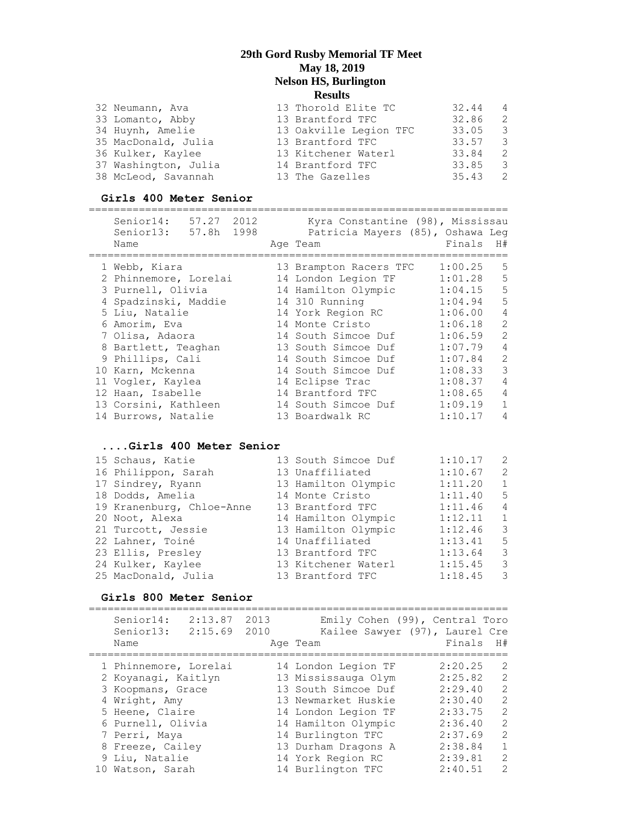| 32 Neumann, Ava      | 13 Thorold Elite TC    | 32.44 | $\overline{4}$ |
|----------------------|------------------------|-------|----------------|
| 33 Lomanto, Abby     | 13 Brantford TFC       | 32.86 | - 2.           |
| 34 Huynh, Amelie     | 13 Oakville Legion TFC | 33.05 | - 3            |
| 35 MacDonald, Julia  | 13 Brantford TFC       | 33.57 | - 3            |
| 36 Kulker, Kaylee    | 13 Kitchener Waterl    | 33.84 | $\overline{2}$ |
| 37 Washington, Julia | 14 Brantford TFC       | 33.85 | - 3            |
| 38 McLeod, Savannah  | 13 The Gazelles        | 35.43 | - 2.           |

### **Girls 400 Meter Senior**

| Senior14:<br>57.27 2012<br>57.8h<br>1998<br>Senior13:<br>Name | Kyra Constantine (98), Mississau<br>Patricia Mayers (85), Oshawa Leg<br>Age Team | Finals  | H#             |
|---------------------------------------------------------------|----------------------------------------------------------------------------------|---------|----------------|
| 1 Webb, Kiara                                                 | 13 Brampton Racers TFC                                                           | 1:00.25 | .5             |
| 2 Phinnemore, Lorelai                                         | 14 London Legion TF                                                              | 1:01.28 | 5              |
| 3 Purnell, Olivia                                             | 14 Hamilton Olympic                                                              | 1:04.15 | 5              |
| 4 Spadzinski, Maddie                                          | 14 310 Running                                                                   | 1:04.94 | 5              |
| 5 Liu, Natalie                                                | 14 York Region RC                                                                | 1:06.00 | 4              |
| 6 Amorim, Eva                                                 | 14 Monte Cristo                                                                  | 1:06.18 | $\overline{2}$ |
| 7 Olisa, Adaora                                               | 14 South Simcoe Duf                                                              | 1:06.59 | $\overline{2}$ |
| 8 Bartlett, Teaghan                                           | 13 South Simcoe Duf                                                              | 1:07.79 | $\overline{4}$ |
| 9 Phillips, Cali                                              | 14 South Simcoe Duf                                                              | 1:07.84 | $\overline{2}$ |
| 10 Karn, Mckenna                                              | 14 South Simcoe Duf                                                              | 1:08.33 | 3              |
| 11 Vogler, Kaylea                                             | 14 Eclipse Trac                                                                  | 1:08.37 | $\overline{4}$ |
| 12 Haan, Isabelle                                             | 14 Brantford TFC                                                                 | 1:08.65 | $\overline{4}$ |
| 13 Corsini, Kathleen                                          | 14 South Simcoe Duf                                                              | 1:09.19 |                |
| 14 Burrows, Natalie                                           | 13 Boardwalk RC                                                                  | 1:10.17 | 4              |

### **....Girls 400 Meter Senior**

| 15 Schaus, Katie          | 13 South Simcoe Duf | 1:10.17 | $\overline{2}$          |
|---------------------------|---------------------|---------|-------------------------|
| 16 Philippon, Sarah       | 13 Unaffiliated     | 1:10.67 | -2                      |
| 17 Sindrey, Ryann         | 13 Hamilton Olympic | 1:11.20 | 1                       |
| 18 Dodds, Amelia          | 14 Monte Cristo     | 1:11.40 | - 5                     |
| 19 Kranenburg, Chloe-Anne | 13 Brantford TFC    | 1:11.46 | 4                       |
| 20 Noot, Alexa            | 14 Hamilton Olympic | 1:12.11 | 1                       |
| 21 Turcott, Jessie        | 13 Hamilton Olympic | 1:12.46 | - 3                     |
| 22 Lahner, Toiné          | 14 Unaffiliated     | 1:13.41 | 5                       |
| 23 Ellis, Presley         | 13 Brantford TFC    | 1:13.64 | 3                       |
| 24 Kulker, Kaylee         | 13 Kitchener Waterl | 1:15.45 | $\overline{\mathbf{3}}$ |
| 25 MacDonald, Julia       | 13 Brantford TFC    | 1:18.45 | -3                      |

### **Girls 800 Meter Senior**

| 2:13.87<br>Senior14:<br>2:15.69<br>Senior13:<br>Name | 2013<br>2010 | Emily Cohen (99), Central Toro<br>Kailee Sawyer (97), Laurel Cre<br>Age Team | Finals  | H#            |
|------------------------------------------------------|--------------|------------------------------------------------------------------------------|---------|---------------|
| 1 Phinnemore, Lorelai                                |              | 14 London Legion TF                                                          | 2:20.25 | 2             |
| 2 Koyanagi, Kaitlyn                                  |              | 13 Mississauga Olym                                                          | 2:25.82 | $\mathcal{L}$ |
| 3 Koopmans, Grace                                    |              | 13 South Simcoe Duf                                                          | 2:29.40 | $\mathcal{L}$ |
| 4 Wright, Amy                                        |              | 13 Newmarket Huskie                                                          | 2:30.40 | $\mathcal{L}$ |
| 5 Heene, Claire                                      |              | 14 London Legion TF                                                          | 2:33.75 | $\mathcal{L}$ |
| 6 Purnell, Olivia                                    |              | 14 Hamilton Olympic                                                          | 2:36.40 | $\mathcal{L}$ |
| 7 Perri, Maya                                        |              | 14 Burlington TFC                                                            | 2:37.69 | $\mathcal{L}$ |
| 8 Freeze, Cailey                                     |              | 13 Durham Dragons A                                                          | 2:38.84 | 1             |
| 9 Liu, Natalie                                       |              | 14 York Region RC                                                            | 2:39.81 | $\mathcal{L}$ |
| 10 Watson, Sarah                                     |              | 14 Burlington TFC                                                            | 2:40.51 | $\mathcal{P}$ |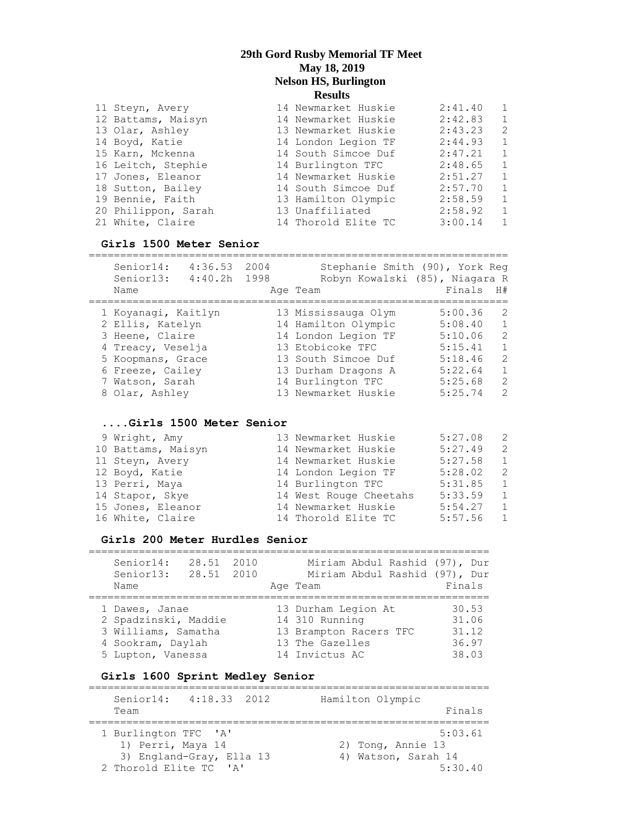| 11 Steyn, Avery     | 14 Newmarket Huskie | 2:41.40 | $\overline{1}$ |
|---------------------|---------------------|---------|----------------|
| 12 Battams, Maisyn  | 14 Newmarket Huskie | 2:42.83 | $\overline{1}$ |
| 13 Olar, Ashley     | 13 Newmarket Huskie | 2:43.23 | 2              |
| 14 Boyd, Katie      | 14 London Legion TF | 2:44.93 | 1              |
| 15 Karn, Mckenna    | 14 South Simcoe Duf | 2:47.21 | $\overline{1}$ |
| 16 Leitch, Stephie  | 14 Burlington TFC   | 2:48.65 | $\overline{1}$ |
| 17 Jones, Eleanor   | 14 Newmarket Huskie | 2:51.27 | 1              |
| 18 Sutton, Bailey   | 14 South Simcoe Duf | 2:57.70 | 1              |
| 19 Bennie, Faith    | 13 Hamilton Olympic | 2:58.59 | 1              |
| 20 Philippon, Sarah | 13 Unaffiliated     | 2:58.92 | $\overline{1}$ |
| 21 White, Claire    | 14 Thorold Elite TC | 3:00.14 | $\overline{1}$ |

### **Girls 1500 Meter Senior**

| Senior14:<br>4:36.53<br>4:40.2h<br>Senior13:<br>Name | 2004<br>1998 | Stephanie Smith (90), York Req<br>Robyn Kowalski (85), Niagara R<br>Age Team | Finals  | H#            |
|------------------------------------------------------|--------------|------------------------------------------------------------------------------|---------|---------------|
|                                                      |              |                                                                              |         |               |
| 1 Koyanaqi, Kaitlyn                                  |              | 13 Mississauga Olym                                                          | 5:00.36 | $\mathcal{P}$ |
| 2 Ellis, Katelyn                                     |              | 14 Hamilton Olympic                                                          | 5:08.40 |               |
| 3 Heene, Claire                                      |              | 14 London Legion TF                                                          | 5:10.06 | 2             |
| 4 Treacy, Veselja                                    |              | 13 Etobicoke TFC                                                             | 5:15.41 | 1             |
| 5 Koopmans, Grace                                    |              | 13 South Simcoe Duf                                                          | 5:18.46 | 2             |
| 6 Freeze, Cailey                                     |              | 13 Durham Dragons A                                                          | 5:22.64 |               |
| 7 Watson, Sarah                                      |              | 14 Burlington TFC                                                            | 5:25.68 | $\mathcal{L}$ |
| 8 Olar, Ashley                                       |              | 13 Newmarket Huskie                                                          | 5:25.74 | $\mathcal{P}$ |

#### **....Girls 1500 Meter Senior**

| 9 Wright, Amy      | 13 Newmarket Huskie    | 5:27.08 | - 2            |
|--------------------|------------------------|---------|----------------|
| 10 Battams, Maisyn | 14 Newmarket Huskie    | 5:27.49 | -2             |
| 11 Steyn, Avery    | 14 Newmarket Huskie    | 5:27.58 | $\overline{1}$ |
| 12 Boyd, Katie     | 14 London Legion TF    | 5:28.02 | - 2            |
| 13 Perri, Maya     | 14 Burlington TFC      | 5:31.85 | $\overline{1}$ |
| 14 Stapor, Skye    | 14 West Rouge Cheetahs | 5:33.59 | $\overline{1}$ |
| 15 Jones, Eleanor  | 14 Newmarket Huskie    | 5:54.27 | $\overline{1}$ |
| 16 White, Claire   | 14 Thorold Elite TC    | 5:57.56 | $\overline{1}$ |

### **Girls 200 Meter Hurdles Senior**

| Senior14:            | 28.51      | 2010 | Miriam Abdul Rashid (97), Dur |        |
|----------------------|------------|------|-------------------------------|--------|
| Senior13:            | 28.51 2010 |      | Miriam Abdul Rashid (97), Dur |        |
| Name                 |            |      | Age Team                      | Finals |
|                      |            |      |                               |        |
| 1 Dawes, Janae       |            |      | 13 Durham Legion At           | 30.53  |
| 2 Spadzinski, Maddie |            |      | 14 310 Running                | 31.06  |
| 3 Williams, Samatha  |            |      | 13 Brampton Racers TFC        | 31.12  |
| 4 Sookram, Daylah    |            |      | 13 The Gazelles               | 36.97  |
| 5 Lupton, Vanessa    |            |      | 14 Invictus AC                | 38.03  |

### **Girls 1600 Sprint Medley Senior**

| Senior14:<br>Team      | 4:18.33 2012             | Hamilton Olympic<br>Finals |
|------------------------|--------------------------|----------------------------|
|                        |                          |                            |
|                        |                          |                            |
| 1 Burlington TFC 'A'   |                          | 5:03.61                    |
| 1) Perri, Maya 14      |                          | 2) Tong, Annie 13          |
|                        | 3) England-Gray, Ella 13 | 4) Watson, Sarah 14        |
| 2 Thorold Elite TC 'A' |                          | 5:30.40                    |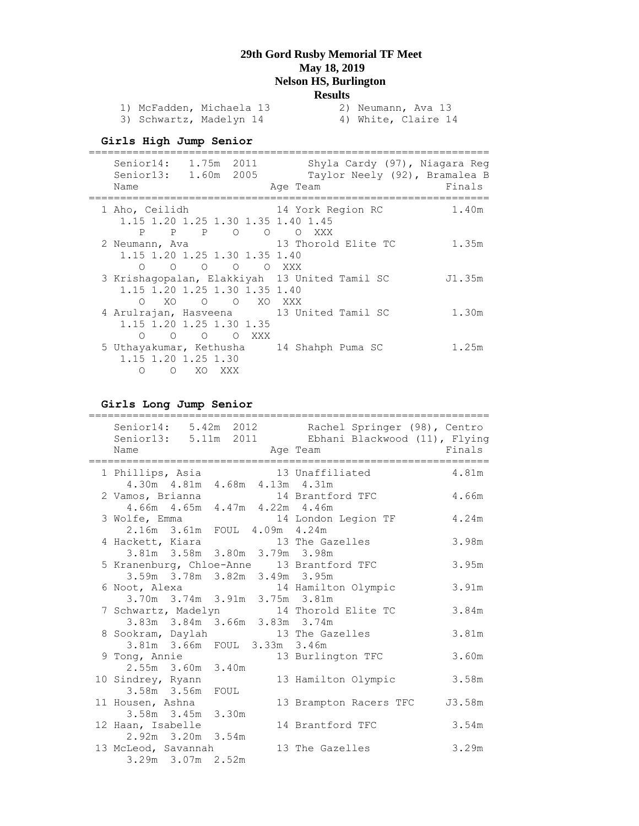| 1) McFadden, Michaela 13 |  | 2) Neumann, Ava 13  |
|--------------------------|--|---------------------|
| 3) Schwartz, Madelyn 14  |  | 4) White, Claire 14 |

## **Girls High Jump Senior**

| Senior14: 1.75m 2011<br>Senior13: 1.60m 2005<br>Name                                                                                    | Shyla Cardy (97), Niagara Reg<br>Taylor Neely (92), Bramalea B<br>Age Team | Finals |
|-----------------------------------------------------------------------------------------------------------------------------------------|----------------------------------------------------------------------------|--------|
| 1 Aho, Ceilidh<br>1.15 1.20 1.25 1.30 1.35 1.40 1.45<br>P P P O O                                                                       | 14 York Region RC<br>O XXX                                                 | 1.40m  |
| 2 Neumann, Ava 13 Thorold Elite TC<br>1.15 1.20 1.25 1.30 1.35 1.40<br>O O O XXX<br>$\overline{O}$<br>$\bigcap$                         |                                                                            | 1.35m  |
| 3 Krishaqopalan, Elakkiyah 13 United Tamil SC<br>1.15 1.20 1.25 1.30 1.35 1.40<br>XO.<br>$\circ$<br>$\begin{matrix} 0 & 0 \end{matrix}$ | XO XXX                                                                     | J1.35m |
| 4 Arulrajan, Hasveena 13 United Tamil SC<br>1.15 1.20 1.25 1.30 1.35<br>O O XXX<br>$\overline{O}$<br>∩                                  |                                                                            | 1.30m  |
| 5 Uthayakumar, Kethusha 14 Shahph Puma SC<br>1.15 1.20 1.25 1.30<br>$\bigcirc$<br>$\circ$<br>XO XXX                                     |                                                                            | 1.25m  |

# **Girls Long Jump Senior**

|                                       |                                   |  | Senior14: 5.42m 2012 Rachel Springer (98), Centro                  |        |
|---------------------------------------|-----------------------------------|--|--------------------------------------------------------------------|--------|
|                                       |                                   |  | Senior13: 5.11m 2011 Ebhani Blackwood (11), Flying                 |        |
| Name                                  | Age Team                          |  |                                                                    | Finals |
|                                       |                                   |  | 1 Phillips, Asia (13 Unaffiliated 4.81m)                           |        |
|                                       | 4.30m  4.81m  4.68m  4.13m  4.31m |  |                                                                    |        |
|                                       |                                   |  | 2 Vamos, Brianna 14 Brantford TFC                                  | 4.66m  |
|                                       | 4.66m  4.65m  4.47m  4.22m  4.46m |  |                                                                    |        |
|                                       |                                   |  | 3 Wolfe, Emma 14 London Legion TF 4.24m                            |        |
|                                       | 2.16m 3.61m FOUL 4.09m 4.24m      |  |                                                                    |        |
|                                       |                                   |  | 4 Hackett, Kiara 13 The Gazelles<br>3.81m 3.58m 3.80m 3.79m 3.98m  | 3.98m  |
|                                       |                                   |  |                                                                    |        |
|                                       |                                   |  | 5 Kranenburg, Chloe-Anne 13 Brantford TFC                          | 3.95m  |
|                                       | 3.59m 3.78m 3.82m 3.49m 3.95m     |  |                                                                    |        |
|                                       |                                   |  | 6 Noot, Alexa 14 Hamilton Olympic<br>3.70m 3.74m 3.91m 3.75m 3.81m | 3.91m  |
|                                       |                                   |  |                                                                    |        |
|                                       |                                   |  | 7 Schwartz, Madelyn 14 Thorold Elite TC                            | 3.84m  |
|                                       |                                   |  | 3.83m 3.84m 3.66m 3.83m 3.74m                                      |        |
|                                       |                                   |  | 8 Sookram, Daylah 13 The Gazelles                                  | 3.81m  |
|                                       | 3.81m 3.66m FOUL 3.33m 3.46m      |  |                                                                    |        |
| 9 Tong, Annie                         |                                   |  | 13 Burlington TFC                                                  | 3.60m  |
|                                       | 2.55m 3.60m 3.40m                 |  |                                                                    |        |
| 10 Sindrey, Ryann                     |                                   |  | 13 Hamilton Olympic                                                | 3.58m  |
|                                       | 3.58m 3.56m FOUL                  |  |                                                                    |        |
| 11 Housen, Ashna<br>3.58m 3.45m 3.30m |                                   |  | 13 Brampton Racers TFC                                             | J3.58m |
|                                       |                                   |  |                                                                    |        |
| 12 Haan, Isabelle                     |                                   |  | 14 Brantford TFC                                                   | 3.54m  |
|                                       | 2.92m 3.20m 3.54m                 |  |                                                                    |        |
| 13 McLeod, Savannah                   |                                   |  | 13 The Gazelles                                                    | 3.29m  |
|                                       | 3.29m 3.07m 2.52m                 |  |                                                                    |        |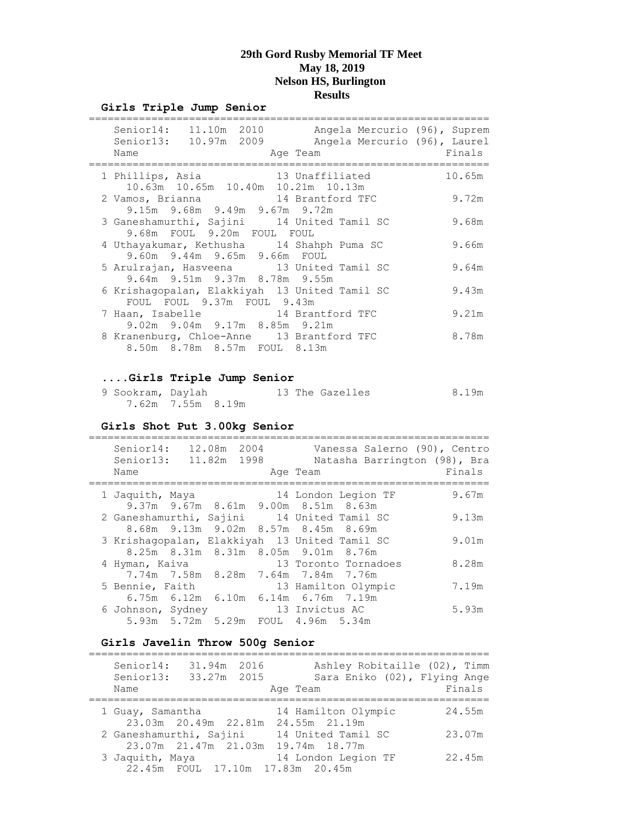#### **Girls Triple Jump Senior**

| Senior14: 11.10m 2010 Angela Mercurio (96), Suprem<br>Senior13: 10.97m 2009<br>Name<br>Age Team | Angela Mercurio (96), Laurel | Finals |
|-------------------------------------------------------------------------------------------------|------------------------------|--------|
| 1 Phillips, Asia 13 Unaffiliated<br>10.63m  10.65m  10.40m  10.21m  10.13m                      |                              | 10.65m |
| 2 Vamos, Brianna 14 Brantford TFC<br>9.15m 9.68m 9.49m 9.67m 9.72m                              |                              | 9.72m  |
| 3 Ganeshamurthi, Sajini 14 United Tamil SC<br>9.68m FOUL 9.20m FOUL FOUL                        |                              | 9.68m  |
| 4 Uthayakumar, Kethusha 14 Shahph Puma SC<br>9.60m 9.44m 9.65m 9.66m FOUL                       |                              | 9.66m  |
| 5 Arulrajan, Hasveena 13 United Tamil SC<br>9.64m 9.51m 9.37m 8.78m 9.55m                       |                              | 9.64m  |
| 6 Krishaqopalan, Elakkiyah 13 United Tamil SC<br>FOUL FOUL 9.37m FOUL 9.43m                     |                              | 9.43m  |
| 7 Haan, Isabelle 14 Brantford TFC<br>9.02m 9.04m 9.17m 8.85m 9.21m                              |                              | 9.21m  |
| 8 Kranenburg, Chloe-Anne 13 Brantford TFC<br>8.50m 8.78m 8.57m FOUL 8.13m                       |                              | 8.78m  |

#### **....Girls Triple Jump Senior**

| 9 Sookram, Daylah |                   |  |  | 13 The Gazelles | 8.19m |
|-------------------|-------------------|--|--|-----------------|-------|
|                   | 7.62m 7.55m 8.19m |  |  |                 |       |

#### **Girls Shot Put 3.00kg Senior**

| Senior14:<br>Senior13:<br>Name | 12.08m 2004<br>11.82m 1998 | Vanessa Salerno (90), Centro<br>Natasha Barrington (98), Bra<br>Age Team             | Finals |
|--------------------------------|----------------------------|--------------------------------------------------------------------------------------|--------|
| 1 Jaquith, Maya                |                            | 14 London Legion TF<br>9.37m 9.67m 8.61m 9.00m 8.51m 8.63m                           | 9.67m  |
|                                |                            | 2 Ganeshamurthi, Sajini 14 United Tamil SC<br>8.68m 9.13m 9.02m 8.57m 8.45m 8.69m    | 9.13m  |
|                                |                            | 3 Krishagopalan, Elakkiyah 13 United Tamil SC<br>8.25m 8.31m 8.31m 8.05m 9.01m 8.76m | 9.01m  |
| 4 Hyman, Kaiva                 |                            | 13 Toronto Tornadoes<br>7.74m 7.58m 8.28m 7.64m 7.84m 7.76m                          | 8.28m  |
| 5 Bennie, Faith                |                            | 13 Hamilton Olympic<br>6.75m 6.12m 6.10m 6.14m 6.76m 7.19m                           | 7.19m  |
|                                |                            | 6 Johnson, Sydney 13 Invictus AC<br>5.93m 5.72m 5.29m FOUL 4.96m 5.34m               | 5.93m  |

#### **Girls Javelin Throw 500g Senior**

| Senior14:<br>Senior13:<br>Name | 31.94m 2016<br>33.27m 2015 | Ashley Robitaille (02), Timm<br>Sara Eniko (02), Flying Ange<br>Age Team                       | Finals |
|--------------------------------|----------------------------|------------------------------------------------------------------------------------------------|--------|
| 1 Guay, Samantha               |                            | 14 Hamilton Olympic                                                                            | 24.55m |
| 2 Ganeshamurthi, Sajini        |                            | 23.03m 20.49m 22.81m 24.55m 21.19m<br>14 United Tamil SC<br>23.07m 21.47m 21.03m 19.74m 18.77m | 23.07m |
| 3 Jaquith, Maya                |                            | 14 London Legion TF<br>22.45m FOUL 17.10m 17.83m 20.45m                                        | 22.45m |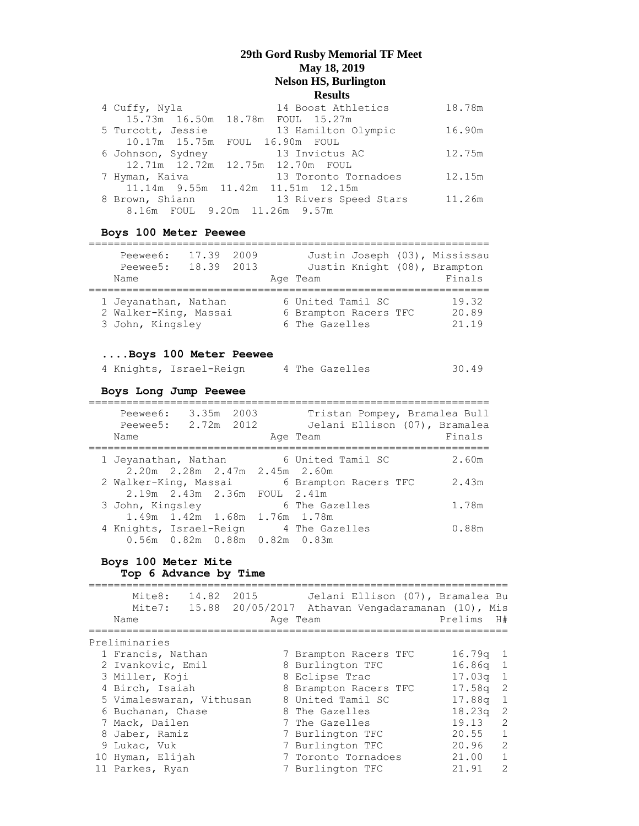| 4 Cuffy, Nyla     | 14 Boost Athletics                   | 18.78m |
|-------------------|--------------------------------------|--------|
|                   | 15.73m 16.50m 18.78m FOUL 15.27m     |        |
| 5 Turcott, Jessie | 13 Hamilton Olympic                  | 16.90m |
|                   | 10.17m 15.75m FOUL 16.90m FOUL       |        |
| 6 Johnson, Sydney | 13 Invictus AC                       | 12.75m |
|                   | 12.71m  12.72m  12.75m  12.70m  FOUL |        |
| 7 Hyman, Kaiva    | 13 Toronto Tornadoes                 | 12.15m |
|                   | 11.14m 9.55m 11.42m 11.51m 12.15m    |        |
| 8 Brown, Shiann   | 13 Rivers Speed Stars                | 11.26m |
|                   | 8.16m FOUL 9.20m 11.26m 9.57m        |        |

### **Boys 100 Meter Peewee**

| Peewee6:<br>Peewee5:                                              | 17.39 2009<br>18.39 | 2013 |                                                              |  | Justin Joseph (03), Mississau<br>Justin Knight (08), Brampton |
|-------------------------------------------------------------------|---------------------|------|--------------------------------------------------------------|--|---------------------------------------------------------------|
| Name                                                              |                     |      | Age Team                                                     |  | Finals                                                        |
| 1 Jeyanathan, Nathan<br>2 Walker-King, Massai<br>3 John, Kingsley |                     |      | 6 United Tamil SC<br>6 Brampton Racers TFC<br>6 The Gazelles |  | 19.32<br>20.89<br>21.19                                       |

#### **....Boys 100 Meter Peewee**

|  |  |  | 4 Knights, Israel-Reign | 4 The Gazelles | 30.49 |
|--|--|--|-------------------------|----------------|-------|
|--|--|--|-------------------------|----------------|-------|

### **Boys Long Jump Peewee**

| Peewee6:<br>Peewee5:<br>Name | 3.35m                         | 2003<br>2.72m 2012 |              | Tristan Pompey, Bramalea Bull<br>Jelani Ellison (07), Bramalea<br>Age Team | Finals |
|------------------------------|-------------------------------|--------------------|--------------|----------------------------------------------------------------------------|--------|
| 1 Jeyanathan, Nathan         | 2.20m 2.28m 2.47m 2.45m 2.60m |                    |              | 6 United Tamil SC                                                          | 2.60m  |
| 2 Walker-King, Massai        |                               |                    |              | 6 Brampton Racers TFC                                                      | 2.43m  |
| $2.19m$ $2.43m$ $2.36m$      |                               |                    | $FOUL$ 2.41m |                                                                            |        |
| 3 John, Kingsley             |                               |                    |              | 6 The Gazelles                                                             | 1.78m  |
|                              | 1.49m 1.42m 1.68m 1.76m 1.78m |                    |              |                                                                            |        |
| 4 Knights, Israel-Reign      |                               |                    |              | 4 The Gazelles                                                             | 0.88m  |
|                              | 0.56m 0.82m 0.88m 0.82m 0.83m |                    |              |                                                                            |        |

# **Boys 100 Meter Mite**

# **Top 6 Advance by Time**

| Mite8:                   | 14.82 2015 | Jelani Ellison (07), Bramalea Bu<br>Mite7: 15.88 20/05/2017 Athavan Vengadaramanan (10), Mis |                         |
|--------------------------|------------|----------------------------------------------------------------------------------------------|-------------------------|
| Name                     |            | Age Team                                                                                     | Prelims<br>H#           |
|                          |            |                                                                                              |                         |
| Preliminaries            |            |                                                                                              |                         |
| 1 Francis, Nathan        |            | 7 Brampton Racers TFC                                                                        | $16.79q$ 1              |
| 2 Ivankovic, Emil        |            | 8 Burlington TFC                                                                             | $16.86q$ 1              |
| 3 Miller, Koji           |            | 8 Eclipse Trac                                                                               | $17.03q$ 1              |
| 4 Birch, Isaiah          |            | 8 Brampton Racers TFC                                                                        | -2<br>17.58a            |
| 5 Vimaleswaran, Vithusan |            | 8 United Tamil SC                                                                            | 17.88g<br>1             |
| 6 Buchanan, Chase        |            | 8 The Gazelles                                                                               | -2<br>18.23a            |
| 7 Mack, Dailen           |            | 7 The Gazelles                                                                               | 2<br>19.13              |
| 8 Jaber, Ramiz           |            | 7 Burlington TFC                                                                             | 1<br>20.55              |
| 9 Lukac, Vuk             |            | 7 Burlington TFC                                                                             | -2<br>20.96             |
| 10 Hyman, Elijah         |            | 7 Toronto Tornadoes                                                                          | $\overline{1}$<br>21.00 |
| 11 Parkes, Ryan          |            | 7 Burlington TFC                                                                             | $\mathcal{L}$<br>21.91  |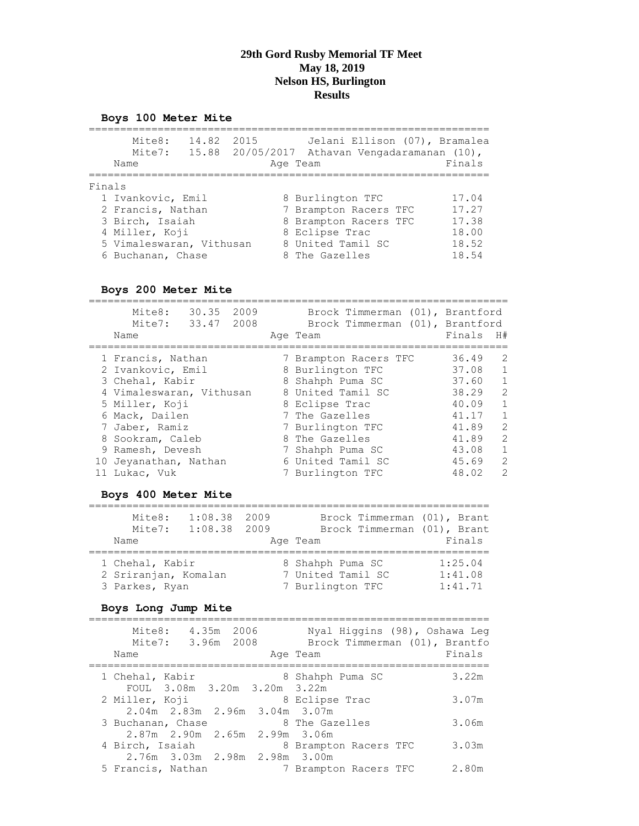# **Boys 100 Meter Mite**

|        | Mite8:<br>14.82<br>Mite7:<br>Name                                                                                            | 2015<br>15.88 20/05/2017 | Athavan Vengadaramanan (10),<br>Age Team                                                                                    | Jelani Ellison (07), Bramalea<br>Finals            |
|--------|------------------------------------------------------------------------------------------------------------------------------|--------------------------|-----------------------------------------------------------------------------------------------------------------------------|----------------------------------------------------|
| Finals | 1 Ivankovic, Emil<br>2 Francis, Nathan<br>3 Birch, Isaiah<br>4 Miller, Koji<br>5 Vimaleswaran, Vithusan<br>6 Buchanan, Chase |                          | 8 Burlington TFC<br>7 Brampton Racers TFC<br>8 Brampton Racers TFC<br>8 Eclipse Trac<br>8 United Tamil SC<br>8 The Gazelles | 17.04<br>17.27<br>17.38<br>18.00<br>18.52<br>18.54 |

## **Boys 200 Meter Mite**

| Mite8:<br>30.35 2009<br>Mite7: 33.47 2008<br>Name | Brock Timmerman (01), Brantford<br>Brock Timmerman (01), Brantford<br>Age Team | Finals | H#             |
|---------------------------------------------------|--------------------------------------------------------------------------------|--------|----------------|
| 1 Francis, Nathan                                 | 7 Brampton Racers TFC                                                          | 36.49  | 2              |
| 2 Ivankovic, Emil                                 | 8 Burlington TFC                                                               | 37.08  | 1              |
| 3 Chehal, Kabir                                   | 8 Shahph Puma SC                                                               | 37.60  | $\overline{1}$ |
| 4 Vimaleswaran, Vithusan                          | 8 United Tamil SC                                                              | 38.29  | 2              |
| 5 Miller, Koji                                    | 8 Eclipse Trac                                                                 | 40.09  | 1              |
| 6 Mack, Dailen                                    | 7 The Gazelles                                                                 | 41.17  | $\mathbf{1}$   |
| 7 Jaber, Ramiz                                    | 7 Burlington TFC                                                               | 41.89  | 2              |
| 8 Sookram, Caleb                                  | 8 The Gazelles                                                                 | 41.89  | 2              |
| 9 Ramesh, Devesh                                  | 7 Shahph Puma SC                                                               | 43.08  | $\mathbf{1}$   |
| 10 Jeyanathan, Nathan                             | 6 United Tamil SC                                                              | 45.69  | 2              |
| 11 Lukac, Vuk                                     | 7 Burlington TFC                                                               | 48.02  | 2              |

## **Boys 400 Meter Mite**

| Mite8:<br>Mite7:<br>Name                                  | 1:08.38<br>1:08.38 2009 | 2009 | Brock Timmerman (01), Brant<br>Brock Timmerman (01), Brant<br>Age Team | Finals                        |
|-----------------------------------------------------------|-------------------------|------|------------------------------------------------------------------------|-------------------------------|
| 1 Chehal, Kabir<br>2 Sriranjan, Komalan<br>3 Parkes, Ryan |                         |      | 8 Shahph Puma SC<br>7 United Tamil SC<br>7 Burlington TFC              | 1:25.04<br>1:41.08<br>1:41.71 |

#### **Boys Long Jump Mite**

| Mite8:<br>4.35m 2006<br>Mite7: 3.96m 2008<br>Name            | Nyal Hiqqins (98), Oshawa Leq<br>Brock Timmerman (01), Brantfo<br>Age Team | Finals |
|--------------------------------------------------------------|----------------------------------------------------------------------------|--------|
| 1 Chehal, Kabir<br>FOUL 3.08m 3.20m 3.20m 3.22m              | 8 Shahph Puma SC                                                           | 3.22m  |
| 2 Miller, Koji                                               | 8 Eclipse Trac                                                             | 3.07m  |
| $2.04m$ $2.83m$ $2.96m$ $3.04m$ $3.07m$<br>3 Buchanan, Chase | 8 The Gazelles                                                             | 3.06m  |
| 2.87m 2.90m 2.65m 2.99m 3.06m<br>4 Birch, Isaiah             | 8 Brampton Racers TFC                                                      | 3.03m  |
| 2.76m 3.03m 2.98m 2.98m 3.00m<br>5 Francis, Nathan           | 7 Brampton Racers TFC                                                      | 2.80m  |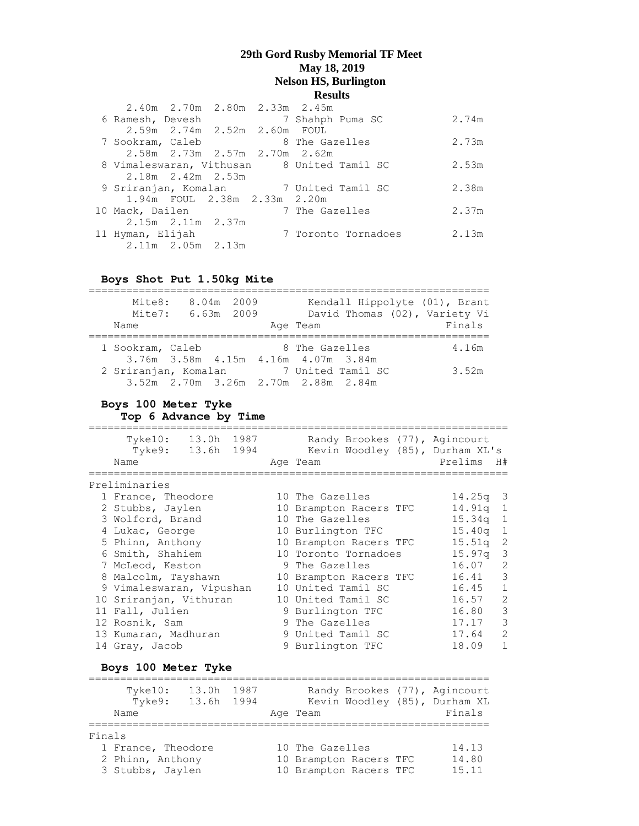|                  | 2.40m 2.70m 2.80m 2.33m 2.45m |  |                |                                            |       |
|------------------|-------------------------------|--|----------------|--------------------------------------------|-------|
| 6 Ramesh, Devesh |                               |  |                | 7 Shahph Puma SC                           | 2.74m |
|                  | 2.59m 2.74m 2.52m 2.60m FOUL  |  |                |                                            |       |
| 7 Sookram, Caleb |                               |  | 8 The Gazelles |                                            | 2.73m |
|                  | 2.58m 2.73m 2.57m 2.70m 2.62m |  |                |                                            |       |
|                  |                               |  |                | 8 Vimaleswaran, Vithusan 8 United Tamil SC | 2.53m |
|                  | $2.18m$ $2.42m$ $2.53m$       |  |                |                                            |       |
|                  |                               |  |                | 9 Sriranjan, Komalan 7 United Tamil SC     | 2.38m |
|                  | 1.94m FOUL 2.38m 2.33m 2.20m  |  |                |                                            |       |
| 10 Mack, Dailen  |                               |  | 7 The Gazelles |                                            | 2.37m |
|                  | $2.15m$ $2.11m$ $2.37m$       |  |                |                                            |       |
| 11 Hyman, Elijah |                               |  |                | 7 Toronto Tornadoes                        | 2.13m |
|                  | $2.11m$ $2.05m$ $2.13m$       |  |                |                                            |       |

**Boys Shot Put 1.50kg Mite**

| Mite8:<br>Name       | Mite7: 6.63m 2009 | 8.04m 2009 | Age Team                            |                   | Kendall Hippolyte (01), Brant<br>David Thomas (02), Variety Vi<br>Finals |
|----------------------|-------------------|------------|-------------------------------------|-------------------|--------------------------------------------------------------------------|
| 1 Sookram, Caleb     |                   |            | 8 The Gazelles                      |                   | 4.16m                                                                    |
|                      |                   |            | 3.76m 3.58m 4.15m 4.16m 4.07m 3.84m |                   |                                                                          |
| 2 Sriranjan, Komalan |                   |            |                                     | 7 United Tamil SC | 3.52m                                                                    |
|                      |                   |            | 3.52m 2.70m 3.26m 2.70m 2.88m 2.84m |                   |                                                                          |

#### **Boys 100 Meter Tyke**

**Top 6 Advance by Time**

=================================================================== Tyke10: 13.0h 1987 Randy Brookes (77), Agincourt Tyke9: 13.6h 1994 Kevin Woodley (85), Durham XL's Name Age Team Prelims H# =================================================================== Preliminaries 1 France, Theodore 10 The Gazelles 14.25q 3 2 Stubbs, Jaylen 10 Brampton Racers TFC 14.91q 1 3 Wolford, Brand 10 The Gazelles 15.34q 1 4 Lukac, George 10 Burlington TFC 15.40q 1 5 Phinn, Anthony 10 Brampton Racers TFC 15.51q 2 6 Smith, Shahiem 10 Toronto Tornadoes 15.97q 3 7 McLeod, Keston 9 The Gazelles 16.07 2 8 Malcolm, Tayshawn 10 Brampton Racers TFC 16.41 3 9 Vimaleswaran, Vipushan 10 United Tamil SC 16.45 1 10 Sriranjan, Vithuran 10 United Tamil SC 16.57 2 11 Fall, Julien 9 Burlington TFC 16.80 3 12 Rosnik, Sam and 19 The Gazelles 17.17 3 13 Kumaran, Madhuran 9 United Tamil SC 17.64 2 14 Gray, Jacob 9 Burlington TFC 18.09 1

#### **Boys 100 Meter Tyke**

|        | Tyke10:<br>Tyke9:<br>Name | 13.0h<br>13.6h 1994 | 1987 | Age Team               |  | Randy Brookes (77), Agincourt<br>Kevin Woodley (85), Durham XL<br>Finals |
|--------|---------------------------|---------------------|------|------------------------|--|--------------------------------------------------------------------------|
| Finals |                           |                     |      |                        |  |                                                                          |
|        | 1 France, Theodore        |                     |      | 10 The Gazelles        |  | 14.13                                                                    |
|        | 2 Phinn, Anthony          |                     |      | 10 Brampton Racers TFC |  | 14.80                                                                    |
|        | 3 Stubbs, Jaylen          |                     |      | 10 Brampton Racers TFC |  | 15.11                                                                    |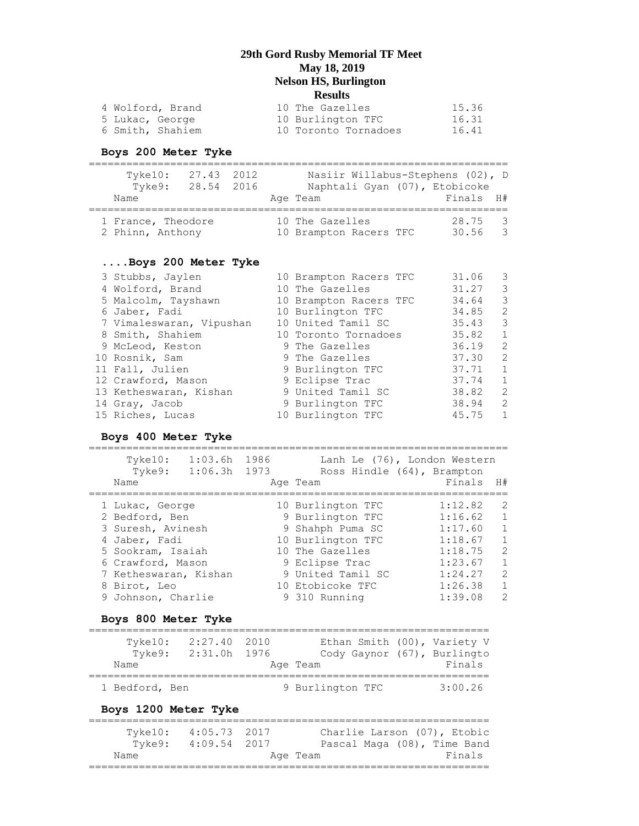| 4 Wolford, Brand | 10 The Gazelles      | 15.36 |
|------------------|----------------------|-------|
| 5 Lukac, George  | 10 Burlington TFC    | 16.31 |
| 6 Smith, Shahiem | 10 Toronto Tornadoes | 16.41 |

# **Boys 200 Meter Tyke**

| $T$ vke $10$ :<br>Tyke9:<br>Name       | 27.43 2012<br>28.54 2016 |  | Nasiir Willabus-Stephens (02), D<br>Naphtali Gyan (07), Etobicoke<br>Age Team | Finals H#        |               |
|----------------------------------------|--------------------------|--|-------------------------------------------------------------------------------|------------------|---------------|
| 1 France, Theodore<br>2 Phinn, Anthony |                          |  | 10 The Gazelles<br>10 Brampton Racers TFC                                     | 28.75 3<br>30.56 | $\mathcal{R}$ |

#### **....Boys 200 Meter Tyke**

| 3 Stubbs, Jaylen         | 10 Brampton Racers TFC | 31.06 | 3                       |
|--------------------------|------------------------|-------|-------------------------|
| 4 Wolford, Brand         | 10 The Gazelles        | 31.27 | 3                       |
| 5 Malcolm, Tayshawn      | 10 Brampton Racers TFC | 34.64 | $\overline{3}$          |
| 6 Jaber, Fadi            | 10 Burlington TFC      | 34.85 | 2                       |
| 7 Vimaleswaran, Vipushan | 10 United Tamil SC     | 35.43 | $\overline{\mathbf{3}}$ |
| 8 Smith, Shahiem         | 10 Toronto Tornadoes   | 35.82 | $\mathbf{1}$            |
| 9 McLeod, Keston         | 9 The Gazelles         | 36.19 | $\overline{2}$          |
| 10 Rosnik, Sam           | 9 The Gazelles         | 37.30 | -2                      |
| 11 Fall, Julien          | 9 Burlington TFC       | 37.71 | $\mathbf{1}$            |
| 12 Crawford, Mason       | 9 Eclipse Trac         | 37.74 | $\mathbf{1}$            |
| 13 Ketheswaran, Kishan   | 9 United Tamil SC      | 38.82 | $\overline{2}$          |
| 14 Gray, Jacob           | 9 Burlington TFC       | 38.94 | 2                       |
| 15 Riches, Lucas         | 10 Burlington TFC      | 45.75 | 1                       |

### **Boys 400 Meter Tyke**

===================================================================

| Tyke10:               | 1:03.6h | 1986 | Lanh Le (76), London Western |         |                |
|-----------------------|---------|------|------------------------------|---------|----------------|
| Tyke9:                | 1:06.3h | 1973 | Ross Hindle (64), Brampton   |         |                |
| Name                  |         |      | Age Team                     | Finals  | H#             |
| 1 Lukac, George       |         |      | 10 Burlington TFC            | 1:12.82 | 2              |
| 2 Bedford, Ben        |         |      | 9 Burlington TFC             | 1:16.62 | $\overline{1}$ |
| 3 Suresh, Avinesh     |         |      | 9 Shahph Puma SC             | 1:17.60 | $\overline{1}$ |
| 4 Jaber, Fadi         |         |      | 10 Burlington TFC            | 1:18.67 | $\mathbf{1}$   |
| 5 Sookram, Isaiah     |         |      | 10 The Gazelles              | 1:18.75 | $\mathcal{L}$  |
| 6 Crawford, Mason     |         |      | 9 Eclipse Trac               | 1:23.67 | $\mathbf{1}$   |
| 7 Ketheswaran, Kishan |         |      | 9 United Tamil SC            | 1:24.27 | 2              |
| 8 Birot, Leo          |         |      | 10 Etobicoke TFC             | 1:26.38 | $\mathbf{1}$   |
| 9 Johnson, Charlie    |         |      | 9 310 Running                | 1:39.08 | $\mathcal{P}$  |

#### **Boys 800 Meter Tyke**

| $T$ vke $10$ : | 2:27.40 2010 | Ethan Smith (00), Variety V |         |
|----------------|--------------|-----------------------------|---------|
| Tyke9:         | 2:31.0h 1976 | Cody Gaynor (67), Burlingto |         |
| Name           |              | Age Team                    | Finals  |
| 1 Bedford, Ben |              | 9 Burlington TFC            | 3:00.26 |

#### **Boys 1200 Meter Tyke**

| Tvke10: | 4:05.73 2017 | Charlie Larson (07), Etobic |  |        |
|---------|--------------|-----------------------------|--|--------|
| Tyke9:  | 4:09.54 2017 | Pascal Maga (08), Time Band |  |        |
| Name    |              | Age Team                    |  | Finals |
|         |              |                             |  |        |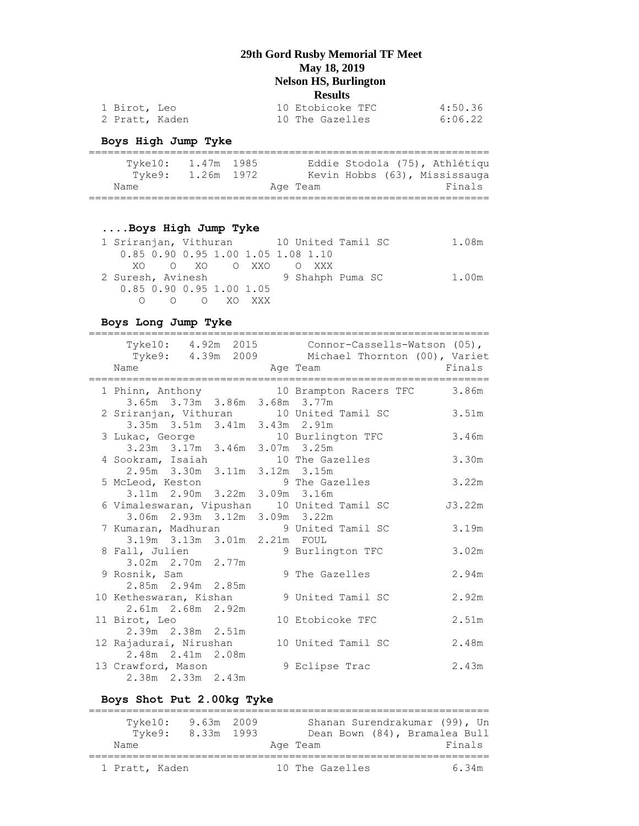| 1 Birot, Leo   |  | 10 Etobicoke TFC | 4:50.36 |
|----------------|--|------------------|---------|
| 2 Pratt, Kaden |  | 10 The Gazelles  | 6:06.22 |

## **Boys High Jump Tyke**

| Tyke10: | 1.47m 1985 |  |          |  | Eddie Stodola (75), Athlétiqu |
|---------|------------|--|----------|--|-------------------------------|
| Tyke9:  | 1.26m 1972 |  |          |  | Kevin Hobbs (63), Mississauga |
| Name    |            |  | Age Team |  | Finals                        |
|         |            |  |          |  |                               |

## **....Boys High Jump Tyke**

| 1 Sriranjan, Vithuran 10 United Tamil SC |  |                  |  |  |  | 1.08m |
|------------------------------------------|--|------------------|--|--|--|-------|
| 0.85 0.90 0.95 1.00 1.05 1.08 1.10       |  |                  |  |  |  |       |
|                                          |  | XOOXOOXXOOXXOXXX |  |  |  |       |
| 2 Suresh, Avinesh 3 9 Shahph Puma SC     |  |                  |  |  |  | 1.00m |
| 0.85 0.90 0.95 1.00 1.05                 |  |                  |  |  |  |       |
|                                          |  | 000 XOXXX        |  |  |  |       |

### **Boys Long Jump Tyke**

| Name Age Team                                                      | Tyke10: 4.92m 2015 Connor-Cassells-Watson (05),<br>Tyke9: 4.39m 2009 Michael Thornton (00), Variet<br><b>Example 18</b> Finals |        |
|--------------------------------------------------------------------|--------------------------------------------------------------------------------------------------------------------------------|--------|
|                                                                    | 1 Phinn, Anthony 10 Brampton Racers TFC 3.86m                                                                                  |        |
| 3.65m 3.73m 3.86m 3.68m 3.77m                                      |                                                                                                                                |        |
| 2 Sriranjan, Vithuran 10 United Tamil SC                           |                                                                                                                                | 3.51m  |
| 3.35m 3.51m 3.41m 3.43m 2.91m                                      |                                                                                                                                |        |
| 3 Lukac, George 10 Burlington TFC                                  |                                                                                                                                | 3.46m  |
| 3.23m 3.17m 3.46m 3.07m 3.25m                                      |                                                                                                                                |        |
| 4 Sookram, Isaiah 10 The Gazelles<br>2.95m 3.30m 3.11m 3.12m 3.15m |                                                                                                                                | 3.30m  |
|                                                                    |                                                                                                                                |        |
| 5 McLeod, Keston                                                   | 9 The Gazelles                                                                                                                 | 3.22m  |
| 3.11m 2.90m 3.22m 3.09m 3.16m                                      |                                                                                                                                |        |
| 6 Vimaleswaran, Vipushan 10 United Tamil SC                        |                                                                                                                                | J3.22m |
| 3.06m 2.93m 3.12m 3.09m 3.22m                                      |                                                                                                                                |        |
| 7 Kumaran, Madhuran 9 United Tamil SC                              |                                                                                                                                | 3.19m  |
| 3.19m 3.13m 3.01m 2.21m FOUL                                       |                                                                                                                                |        |
| 8 Fall, Julien                                                     | 9 Burlington TFC                                                                                                               | 3.02m  |
| 3.02m 2.70m 2.77m                                                  |                                                                                                                                |        |
| 9 Rosnik, Sam                                                      | 9 The Gazelles                                                                                                                 | 2.94m  |
| 2.85m 2.94m 2.85m                                                  |                                                                                                                                |        |
| 10 Ketheswaran, Kishan                                             | 9 United Tamil SC                                                                                                              | 2.92m  |
| 2.61m 2.68m 2.92m                                                  |                                                                                                                                |        |
| 11 Birot, Leo                                                      | 10 Etobicoke TFC                                                                                                               | 2.51m  |
| 2.39m 2.38m 2.51m                                                  |                                                                                                                                |        |
| 12 Rajadurai, Nirushan                                             | 10 United Tamil SC                                                                                                             | 2.48m  |
| 2.48m 2.41m 2.08m                                                  |                                                                                                                                |        |
| 13 Crawford, Mason                                                 | 9 Eclipse Trac                                                                                                                 | 2.43m  |
| 2.38m 2.33m 2.43m                                                  |                                                                                                                                |        |

## **Boys Shot Put 2.00kg Tyke**

| $T$ vke $10$ :<br>Tvke9: | 9.63m 2009<br>8.33m 1993 | Shanan Surendrakumar (99), Un<br>Dean Bown (84), Bramalea Bull |  |
|--------------------------|--------------------------|----------------------------------------------------------------|--|
| Name                     |                          | Finals<br>Age Team                                             |  |
| 1 Pratt, Kaden           |                          | 10 The Gazelles<br>6.34m                                       |  |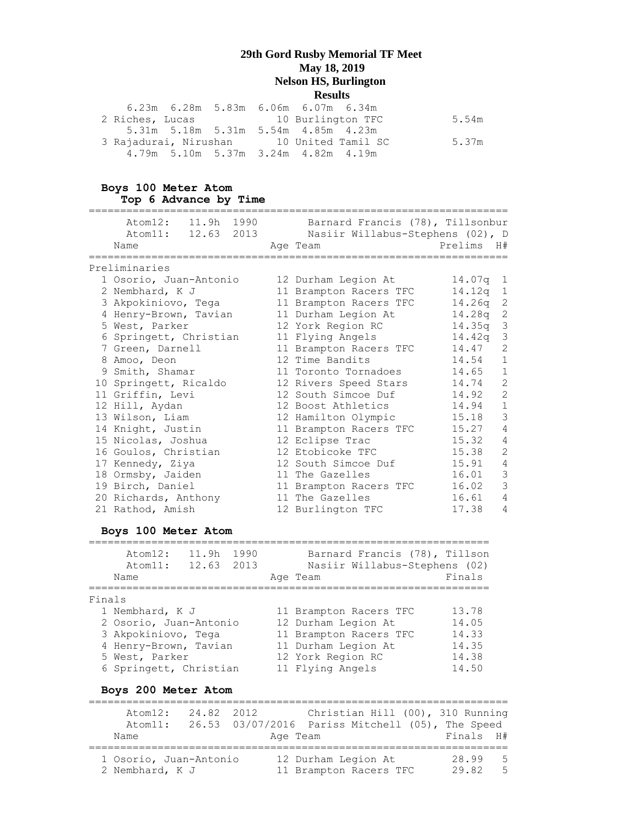|                                          | 6.23m  6.28m  5.83m  6.06m  6.07m  6.34m |       |
|------------------------------------------|------------------------------------------|-------|
| 2 Riches, Lucas 10 Burlington TFC        |                                          | 5.54m |
|                                          | 5.31m 5.18m 5.31m 5.54m 4.85m 4.23m      |       |
| 3 Rajadurai, Nirushan 10 United Tamil SC |                                          | 5.37m |
|                                          | 4.79m 5.10m 5.37m 3.24m 4.82m 4.19m      |       |

#### **Boys 100 Meter Atom Top 6 Advance by Time**

| Atom12: 11.9h 1990<br>Atom11: 12.63 2013 | Barnard Francis (78), Tillsonbur<br>Nasiir Willabus-Stephens (02), D |            |                |
|------------------------------------------|----------------------------------------------------------------------|------------|----------------|
| Name                                     | Age Team                                                             | Prelims    | H#             |
| Preliminaries                            |                                                                      |            |                |
| 1 Osorio, Juan-Antonio                   | 12 Durham Legion At                                                  | $14.07q$ 1 |                |
|                                          |                                                                      |            |                |
| 2 Nembhard, K J                          | 11 Brampton Racers TFC                                               | 14.12a     | 1              |
| 3 Akpokiniovo, Tega                      | 11 Brampton Racers TFC                                               | 14.26q     | $\sqrt{2}$     |
| 4 Henry-Brown, Tavian                    | 11 Durham Legion At                                                  | 14.28q     | $\overline{c}$ |
| 5 West, Parker                           | 12 York Region RC                                                    | 14.35a     | $\mathsf 3$    |
| 6 Springett, Christian                   | 11 Flying Angels                                                     | 14.42a     | $\mathsf 3$    |
| 7 Green, Darnell                         | 11 Brampton Racers TFC                                               | 14.47      | 2              |
| 8 Amoo, Deon                             | 12 Time Bandits                                                      | 14.54      | $\mathbf{1}$   |
| 9 Smith, Shamar                          | 11 Toronto Tornadoes                                                 | 14.65      | $1\,$          |
| 10 Springett, Ricaldo                    | 12 Rivers Speed Stars                                                | 14.74      | $\overline{c}$ |
| 11 Griffin, Levi                         | 12 South Simcoe Duf                                                  | 14.92      | $\overline{c}$ |
| 12 Hill, Aydan                           | 12 Boost Athletics                                                   | 14.94      | $1\,$          |
| 13 Wilson, Liam                          | 12 Hamilton Olympic                                                  | 15.18      | 3              |
| 14 Knight, Justin                        | 11 Brampton Racers TFC                                               | 15.27      | $\overline{4}$ |
| 15 Nicolas, Joshua                       | 12 Eclipse Trac                                                      | 15.32      | 4              |
| 16 Goulos, Christian                     | 12 Etobicoke TFC                                                     | 15.38      | $\overline{c}$ |
| 17 Kennedy, Ziya                         | 12 South Simcoe Duf                                                  | 15.91      | $\overline{4}$ |
| 18 Ormsby, Jaiden                        | 11 The Gazelles                                                      | 16.01      | 3              |
| 19 Birch, Daniel                         | 11 Brampton Racers TFC                                               | 16.02      | 3              |
| 20 Richards, Anthony                     | 11 The Gazelles                                                      | 16.61      | 4              |
| 21 Rathod, Amish                         | 12 Burlington TFC                                                    | 17.38      | $\overline{4}$ |
|                                          |                                                                      |            |                |

# **Boys 100 Meter Atom**

|        | Atom12:<br>Atom11:<br>Name | 11.9h<br>12.63 | 1990<br>2013 | Barnard Francis (78), Tillson<br>Nasiir Willabus-Stephens (02)<br>Age Team | Finals |
|--------|----------------------------|----------------|--------------|----------------------------------------------------------------------------|--------|
| Finals |                            |                |              |                                                                            |        |
|        | 1 Nembhard, K J            |                |              | 11 Brampton Racers TFC                                                     | 13.78  |
|        | 2 Osorio, Juan-Antonio     |                |              | 12 Durham Legion At                                                        | 14.05  |
|        | 3 Akpokiniovo, Tega        |                |              | 11 Brampton Racers TFC                                                     | 14.33  |
|        | 4 Henry-Brown, Tavian      |                |              | 11 Durham Legion At                                                        | 14.35  |
|        | 5 West, Parker             |                |              | 12 York Region RC                                                          | 14.38  |
|        | 6 Springett, Christian     |                |              | 11 Flying Angels                                                           | 14.50  |

# **Boys 200 Meter Atom**

| Atom12:<br>Atom11:<br>Name                | 24.82 2012 | Age Team | Christian Hill (00), 310 Running<br>26.53 03/07/2016 Pariss Mitchell (05), The Speed | Finals H#      |                  |
|-------------------------------------------|------------|----------|--------------------------------------------------------------------------------------|----------------|------------------|
| 1 Osorio, Juan-Antonio<br>2 Nembhard, K J |            |          | 12 Durham Legion At<br>11 Brampton Racers TFC                                        | 28.99<br>29.82 | $5^{\circ}$<br>5 |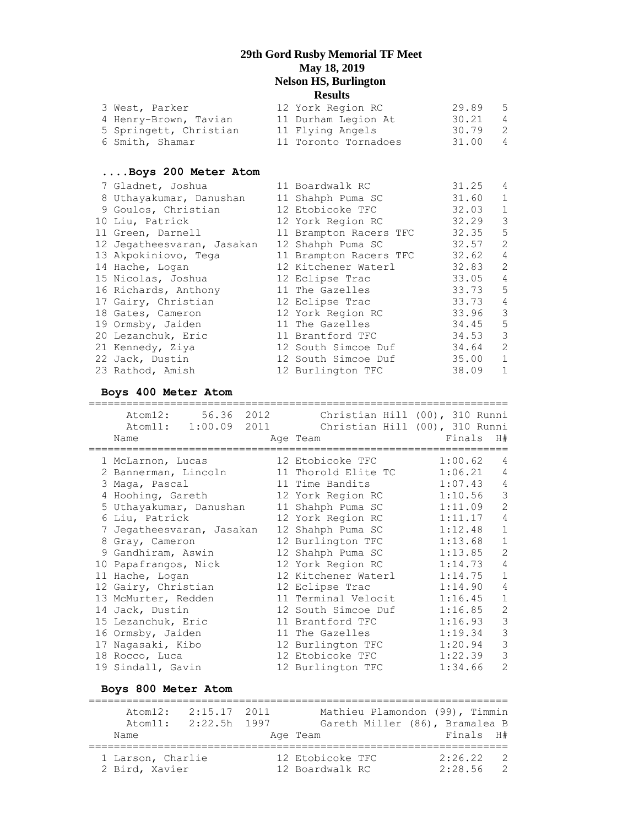| 3 West, Parker         | 12 York Region RC    | 29.89 | - 5            |
|------------------------|----------------------|-------|----------------|
| 4 Henry-Brown, Tavian  | 11 Durham Legion At  | 30.21 | $\overline{4}$ |
| 5 Springett, Christian | 11 Flying Angels     | 30.79 | - 2            |
| 6 Smith, Shamar        | 11 Toronto Tornadoes | 31.00 | $\overline{4}$ |
|                        |                      |       |                |

#### **....Boys 200 Meter Atom**

| 7 Gladnet, Joshua          | 11 Boardwalk RC        | 31.25     | $\overline{4}$ |
|----------------------------|------------------------|-----------|----------------|
| 8 Uthayakumar, Danushan    | 11 Shahph Puma SC      | 31.60     | $\mathbf{1}$   |
| 9 Goulos, Christian        | 12 Etobicoke TFC       | 32.03     | 1              |
| 10 Liu, Patrick            | 12 York Region RC      | 32.29     | 3              |
| 11 Green, Darnell          | 11 Brampton Racers TFC | 32.35     | -5             |
| 12 Jegatheesvaran, Jasakan | 12 Shahph Puma SC      | 32.57     | 2              |
| 13 Akpokiniovo, Tega       | 11 Brampton Racers TFC | 32.62     | $\overline{4}$ |
| 14 Hache, Logan            | 12 Kitchener Waterl    | 32.83     | 2              |
| 15 Nicolas, Joshua         | 12 Eclipse Trac        | $33.05$ 4 |                |
| 16 Richards, Anthony       | 11 The Gazelles        | 33.73     | $5^{\circ}$    |
| 17 Gairy, Christian        | 12 Eclipse Trac        | 33.73     | 4              |
| 18 Gates, Cameron          | 12 York Region RC      | 33.96     | $\mathcal{E}$  |
| 19 Ormsby, Jaiden          | 11 The Gazelles        | 34.45     | 5              |
| 20 Lezanchuk, Eric         | 11 Brantford TFC       | 34.53     | 3              |
| 21 Kennedy, Ziya           | 12 South Simcoe Duf    | 34.64     | 2              |
| 22 Jack, Dustin            | 12 South Simcoe Duf    | 35.00     | $\mathbf{1}$   |
| 23 Rathod, Amish           | 12 Burlington TFC      | 38.09     | $\mathbf{1}$   |

## **Boys 400 Meter Atom**

| Atom12: 56.36 2012<br>Atom11: 1:00.09 2011 |                  | Christian Hill (00), 310 Runni | Christian Hill (00), 310 Runni                         |
|--------------------------------------------|------------------|--------------------------------|--------------------------------------------------------|
| Name<br>=========                          |                  | Age Team                       | Finals<br>H#                                           |
| 1 McLarnon, Lucas                          | :=============== | 12 Etobicoke TFC               | =========================<br>1:00.62<br>$\overline{4}$ |
| 2 Bannerman, Lincoln                       |                  | 11 Thorold Elite TC            | $\overline{4}$<br>1:06.21                              |
| 3 Maga, Pascal                             |                  | 11 Time Bandits                | $\sqrt{4}$<br>1:07.43                                  |
| 4 Hoohing, Gareth                          |                  | 12 York Region RC              | $\mathfrak{Z}$<br>1:10.56                              |
| 5 Uthayakumar, Danushan                    |                  | 11 Shahph Puma SC              | $\overline{c}$<br>1:11.09                              |
| 6 Liu, Patrick                             |                  | 12 York Region RC              | $\sqrt{4}$<br>1:11.17                                  |
| 7 Jegatheesvaran, Jasakan                  |                  | 12 Shahph Puma SC              | $\mathbf{1}$<br>1:12.48                                |
| 8 Gray, Cameron                            |                  | 12 Burlington TFC              | $\mathbf{1}$<br>1:13.68                                |
| 9 Gandhiram, Aswin                         |                  | 12 Shahph Puma SC              | $\overline{2}$<br>1:13.85                              |
| 10 Papafrangos, Nick                       |                  | 12 York Region RC              | $\overline{4}$<br>1:14.73                              |
| 11 Hache, Logan                            |                  | 12 Kitchener Waterl            | $\mathbf{1}$<br>1:14.75                                |
| 12 Gairy, Christian                        |                  | 12 Eclipse Trac                | 4<br>1:14.90                                           |
| 13 McMurter, Redden                        |                  | 11 Terminal Velocit            | $1\,$<br>1:16.45                                       |
| 14 Jack, Dustin                            |                  | 12 South Simcoe Duf            | $\overline{c}$<br>1:16.85                              |
| 15 Lezanchuk, Eric                         |                  | 11 Brantford TFC               | $\mathfrak{Z}$<br>1:16.93                              |
| 16 Ormsby, Jaiden                          |                  | 11 The Gazelles                | $\frac{3}{3}$<br>1:19.34                               |
| 17 Nagasaki, Kibo                          |                  | 12 Burlington TFC              | 1:20.94                                                |
| 18 Rocco, Luca                             |                  | 12 Etobicoke TFC               | $\overline{3}$<br>1:22.39                              |
| 19 Sindall, Gavin                          |                  | 12 Burlington TFC              | $\overline{2}$<br>1:34.66                              |
| Boys 800 Meter Atom                        |                  |                                |                                                        |
|                                            |                  |                                |                                                        |

| Atom12:                             | 2:15.17 2011   |                                     | Mathieu Plamondon (99), Timmin |                       |
|-------------------------------------|----------------|-------------------------------------|--------------------------------|-----------------------|
| Atom11:                             | $2:22.5h$ 1997 |                                     | Gareth Miller (86), Bramalea B |                       |
| Name                                |                | Age Team                            | Finals H#                      |                       |
| 1 Larson, Charlie<br>2 Bird, Xavier |                | 12 Etobicoke TFC<br>12 Boardwalk RC | 2:26.22<br>2:28.56             | $\overline{2}$<br>- 2 |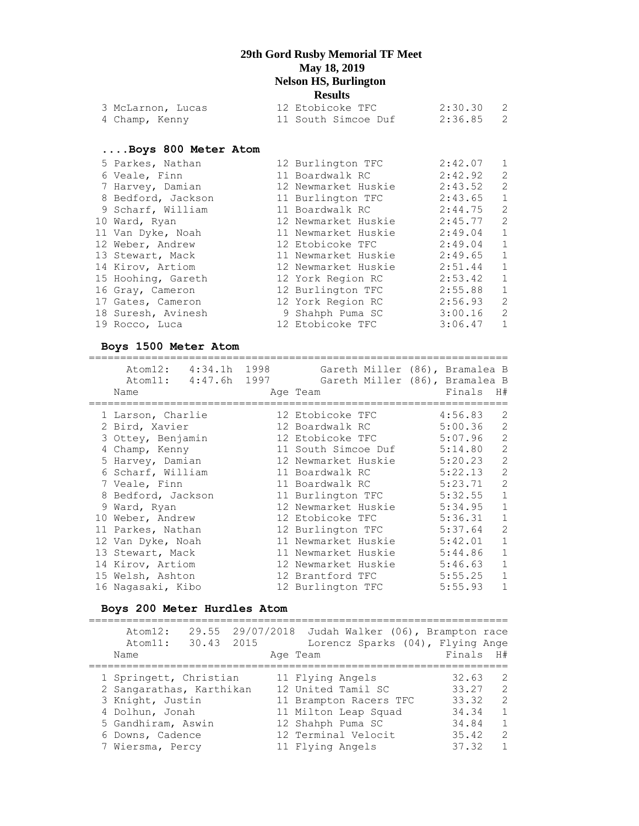|                                                                                                                                                                                                                                                                                                                                                                         | <b>Results</b> |                                                                                                                                                                                                                                                                                                                                                   |                                         |
|-------------------------------------------------------------------------------------------------------------------------------------------------------------------------------------------------------------------------------------------------------------------------------------------------------------------------------------------------------------------------|----------------|---------------------------------------------------------------------------------------------------------------------------------------------------------------------------------------------------------------------------------------------------------------------------------------------------------------------------------------------------|-----------------------------------------|
|                                                                                                                                                                                                                                                                                                                                                                         |                |                                                                                                                                                                                                                                                                                                                                                   |                                         |
|                                                                                                                                                                                                                                                                                                                                                                         |                | 2:36.85                                                                                                                                                                                                                                                                                                                                           | 2                                       |
|                                                                                                                                                                                                                                                                                                                                                                         |                |                                                                                                                                                                                                                                                                                                                                                   |                                         |
|                                                                                                                                                                                                                                                                                                                                                                         |                |                                                                                                                                                                                                                                                                                                                                                   |                                         |
|                                                                                                                                                                                                                                                                                                                                                                         |                | $2:42.07$ 1                                                                                                                                                                                                                                                                                                                                       |                                         |
|                                                                                                                                                                                                                                                                                                                                                                         |                | 2:42.92                                                                                                                                                                                                                                                                                                                                           | 2                                       |
|                                                                                                                                                                                                                                                                                                                                                                         |                | 2:43.52                                                                                                                                                                                                                                                                                                                                           | 2                                       |
|                                                                                                                                                                                                                                                                                                                                                                         |                | $2:43.65$ 1                                                                                                                                                                                                                                                                                                                                       |                                         |
|                                                                                                                                                                                                                                                                                                                                                                         |                | 2:44.75                                                                                                                                                                                                                                                                                                                                           | $\overline{c}$                          |
|                                                                                                                                                                                                                                                                                                                                                                         |                |                                                                                                                                                                                                                                                                                                                                                   |                                         |
|                                                                                                                                                                                                                                                                                                                                                                         |                | $2:49.04$ 1                                                                                                                                                                                                                                                                                                                                       |                                         |
|                                                                                                                                                                                                                                                                                                                                                                         |                | $2:49.04$ 1                                                                                                                                                                                                                                                                                                                                       |                                         |
|                                                                                                                                                                                                                                                                                                                                                                         |                | 2:49.65 1                                                                                                                                                                                                                                                                                                                                         |                                         |
|                                                                                                                                                                                                                                                                                                                                                                         |                | 2:51.44                                                                                                                                                                                                                                                                                                                                           | $\overline{1}$                          |
|                                                                                                                                                                                                                                                                                                                                                                         |                | 2:53.42 1                                                                                                                                                                                                                                                                                                                                         |                                         |
|                                                                                                                                                                                                                                                                                                                                                                         |                | $2:55.88$ 1                                                                                                                                                                                                                                                                                                                                       |                                         |
|                                                                                                                                                                                                                                                                                                                                                                         |                | 2:56.93 2                                                                                                                                                                                                                                                                                                                                         |                                         |
|                                                                                                                                                                                                                                                                                                                                                                         |                | 3:00.16                                                                                                                                                                                                                                                                                                                                           | $\overline{c}$                          |
|                                                                                                                                                                                                                                                                                                                                                                         |                | 3:06.47                                                                                                                                                                                                                                                                                                                                           | $\mathbf{1}$                            |
| 3 McLarnon, Lucas<br>4 Champ, Kenny<br>Boys 800 Meter Atom<br>5 Parkes, Nathan<br>6 Veale, Finn<br>7 Harvey, Damian<br>8 Bedford, Jackson<br>9 Scharf, William<br>10 Ward, Ryan<br>11 Van Dyke, Noah<br>12 Weber, Andrew<br>13 Stewart, Mack<br>14 Kirov, Artiom<br>15 Hoohing, Gareth<br>16 Gray, Cameron<br>17 Gates, Cameron<br>18 Suresh, Avinesh<br>19 Rocco, Luca |                | 11 South Simcoe Duf<br>12 Burlington TFC<br>11 Boardwalk RC<br>12 Newmarket Huskie<br>11 Burlington TFC<br>11 Boardwalk RC<br>12 Newmarket Huskie<br>11 Newmarket Huskie<br>12 Etobicoke TFC<br>11 Newmarket Huskie<br>12 Newmarket Huskie<br>12 York Region RC<br>12 Burlington TFC<br>12 York Region RC<br>9 Shahph Puma SC<br>12 Etobicoke TFC | 12 Etobicoke TFC 2:30.30 2<br>2:45.77 2 |

#### **Boys 1500 Meter Atom**

=================================================================== Atom12: 4:34.1h 1998 Gareth Miller (86), Bramalea B Atom11: 4:47.6h 1997 Gareth Miller (86), Bramalea B Name Age Team Finals H# =================================================================== 1 Larson, Charlie 12 Etobicoke TFC 4:56.83 2 2 Bird, Xavier 12 Boardwalk RC 5:00.36 2 3 Ottey, Benjamin 12 Etobicoke TFC 5:07.96 2 4 Champ, Kenny 11 South Simcoe Duf 5:14.80 2 5 Harvey, Damian 12 Newmarket Huskie 5:20.23 2 6 Scharf, William 11 Boardwalk RC 5:22.13 2 7 Veale, Finn 11 Boardwalk RC 5:23.71 2 8 Bedford, Jackson 11 Burlington TFC 5:32.55 1 9 Ward, Ryan 12 Newmarket Huskie 5:34.95 1 10 Weber, Andrew 12 Etobicoke TFC 5:36.31 1 11 Parkes, Nathan 12 Burlington TFC 5:37.64 2 12 Van Dyke, Noah 11 Newmarket Huskie 5:42.01 1 13 Stewart, Mack 11 Newmarket Huskie 5:44.86 1 14 Kirov, Artiom 12 Newmarket Huskie 5:46.63 1 15 Welsh, Ashton 12 Brantford TFC 5:55.25 1 16 Nagasaki, Kibo 12 Burlington TFC 5:55.93 1

#### **Boys 200 Meter Hurdles Atom**

=================================================================== Atom12: 29.55 29/07/2018 Judah Walker (06), Brampton race Atom11: 30.43 2015 Lorencz Sparks (04), Flying Ange<br>## Age Team Finals H Name **Age Team** Age Team Finals H# =================================================================== 1 Springett, Christian 11 Flying Angels 32.63 2 2 Sangarathas, Karthikan 12 United Tamil SC 33.27 2 3 Knight, Justin 11 Brampton Racers TFC 33.32 2 4 Dolhun, Jonah 11 Milton Leap Squad 34.34 1 5 Gandhiram, Aswin 12 Shahph Puma SC 34.84 1 6 Downs, Cadence 12 Terminal Velocit 35.42 2 7 Wiersma, Percy 11 Flying Angels 37.32 1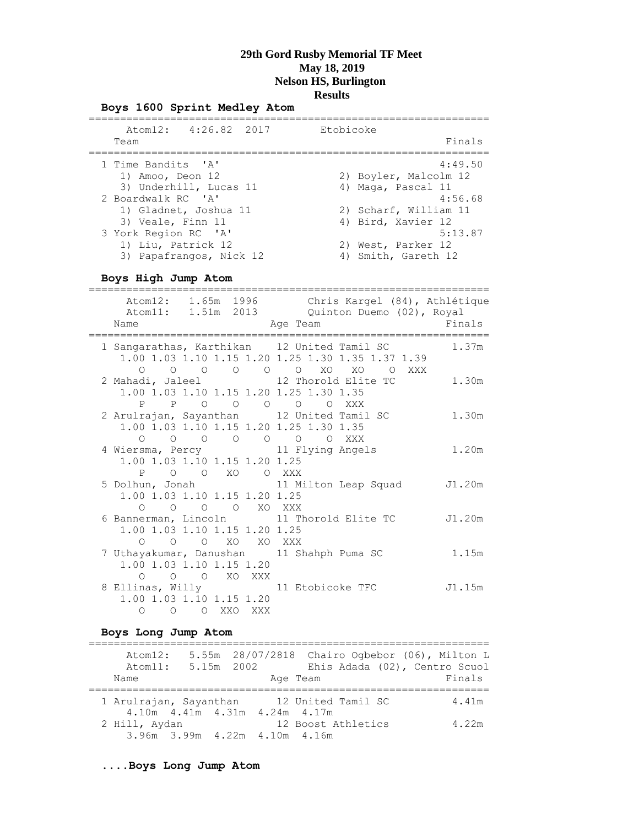#### **Boys 1600 Sprint Medley Atom**

| Atom12: 4:26.82 2017                                                  | Etobicoke                                               |
|-----------------------------------------------------------------------|---------------------------------------------------------|
| Team                                                                  | Finals                                                  |
| 1 Time Bandits 'A'                                                    | 4:49.50                                                 |
| 1) Amoo, Deon 12                                                      | 2) Boyler, Malcolm 12                                   |
| 3) Underhill, Lucas 11                                                | 4) Maga, Pascal 11                                      |
| 2 Boardwalk RC 'A'                                                    | 4:56.68                                                 |
| 1) Gladnet, Joshua 11                                                 | 2) Scharf, William 11                                   |
| 3) Veale, Finn 11                                                     | 4) Bird, Xavier 12                                      |
| 3 York Region RC 'A'<br>1) Liu, Patrick 12<br>3) Papafrangos, Nick 12 | 5:13.87<br>2) West, Parker 12<br>Smith, Gareth 12<br>4) |

## **Boys High Jump Atom**

| Name<br>==============================                                                                                                              | Atom12: 1.65m 1996 Chris Kargel (84), Athlétique<br>Atom11: 1.51m 2013 Quinton Duemo (02), Royal<br>Age Team | Finals |
|-----------------------------------------------------------------------------------------------------------------------------------------------------|--------------------------------------------------------------------------------------------------------------|--------|
| 1 Sangarathas, Karthikan 12 United Tamil SC                                                                                                         | 1.00 1.03 1.10 1.15 1.20 1.25 1.30 1.35 1.37 1.39<br>0 0 0 0 0 0 XO XO 0 XXX                                 | 1.37m  |
| 1.00 1.03 1.10 1.15 1.20 1.25 1.30 1.35<br>P P O O O O O XXX                                                                                        | 2 Mahadi, Jaleel 12 Thorold Elite TC                                                                         | 1.30m  |
| 2 Arulrajan, Sayanthan 12 United Tamil SC<br>1.00 1.03 1.10 1.15 1.20 1.25 1.30 1.35<br>$\begin{matrix} 0 & 0 & 0 & 0 & 0 \end{matrix}$<br>$\Omega$ | O XXX                                                                                                        | 1.30m  |
| 4 Wiersma, Percy 11 Flying Angels<br>1.00 1.03 1.10 1.15 1.20 1.25<br>O O XO O XXX<br>P                                                             |                                                                                                              | 1.20m  |
| 1.00 1.03 1.10 1.15 1.20 1.25<br>O O O O XO XXX                                                                                                     | 5 Dolhun, Jonah 11 Milton Leap Squad J1.20m                                                                  |        |
| 1.00 1.03 1.10 1.15 1.20 1.25<br>0 0 0 XO XO XXX                                                                                                    | 6 Bannerman, Lincoln 11 Thorold Elite TC J1.20m                                                              |        |
| 7 Uthayakumar, Danushan 11 Shahph Puma SC<br>1.00 1.03 1.10 1.15 1.20<br>O O XO XXX<br>$\bigcirc$                                                   |                                                                                                              | 1.15m  |
| 8 Ellinas, Willy 11 Etobicoke TFC<br>1.00 1.03 1.10 1.15 1.20<br>O XXO XXX<br>$\overline{O}$<br>$\Omega$                                            |                                                                                                              | J1.15m |

#### **Boys Long Jump Atom**

| Atom12:<br>Atom11:     | 5.15m 2002                        |  | 5.55m 28/07/2818 Chairo Ogbebor (06), Milton L | Ehis Adada (02), Centro Scuol |
|------------------------|-----------------------------------|--|------------------------------------------------|-------------------------------|
| Name                   |                                   |  | Age Team                                       | Finals                        |
|                        |                                   |  |                                                |                               |
| 1 Arulrajan, Sayanthan |                                   |  | 12 United Tamil SC                             | 4.41m                         |
|                        | 4.10m  4.41m  4.31m  4.24m  4.17m |  |                                                |                               |
| 2 Hill, Aydan          |                                   |  | 12 Boost Athletics                             | 4.22m                         |
|                        | 3.96m 3.99m 4.22m 4.10m 4.16m     |  |                                                |                               |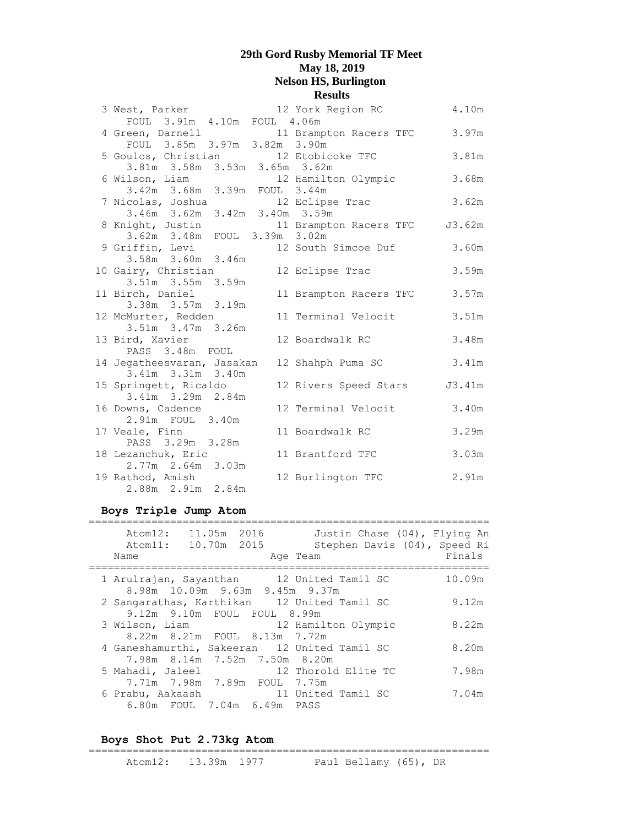| 3 West, Parker                          | 12 York Region RC         | 4.10m  |
|-----------------------------------------|---------------------------|--------|
| FOUL 3.91m 4.10m FOUL 4.06m             |                           |        |
| 4 Green, Darnell                        | 11 Brampton Racers TFC    | 3.97m  |
| FOUL 3.85m 3.97m 3.82m 3.90m            |                           |        |
| 5 Goulos, Christian 12 Etobicoke TFC    |                           | 3.81m  |
| 3.81m 3.58m 3.53m 3.65m 3.62m           |                           |        |
| 6 Wilson, Liam                          | 12 Hamilton Olympic       | 3.68m  |
| 3.42m 3.68m 3.39m FOUL 3.44m            |                           |        |
| 7 Nicolas, Joshua                       | 12 Eclipse Trac           | 3.62m  |
| $3.46m$ $3.62m$ $3.42m$ $3.40m$ $3.59m$ |                           |        |
| 8 Knight, Justin                        | 11 Brampton Racers TFC    | J3.62m |
| 3.62m 3.48m FOUL 3.39m 3.02m            |                           |        |
| 9 Griffin, Levi                         | 12 South Simcoe Duf 3.60m |        |
| 3.58m 3.60m 3.46m                       |                           |        |
| 10 Gairy, Christian                     | 12 Eclipse Trac           | 3.59m  |
| 3.51m 3.55m 3.59m                       |                           |        |
| 11 Birch, Daniel                        | 11 Brampton Racers TFC    | 3.57m  |
| 3.38m 3.57m 3.19m                       |                           |        |
| 12 McMurter, Redden                     | 11 Terminal Velocit       | 3.51m  |
| 3.51m 3.47m 3.26m                       |                           |        |
| 13 Bird, Xavier<br>PASS 3.48m FOUL      | 12 Boardwalk RC           | 3.48m  |
| 14 Jegatheesvaran, Jasakan              | 12 Shahph Puma SC         | 3.41m  |
| 3.41m 3.31m 3.40m                       |                           |        |
| 15 Springett, Ricaldo                   | 12 Rivers Speed Stars     | J3.41m |
| 3.41m 3.29m 2.84m                       |                           |        |
| 16 Downs, Cadence                       | 12 Terminal Velocit       | 3.40m  |
| 2.91m FOUL 3.40m                        |                           |        |
| 17 Veale, Finn                          | 11 Boardwalk RC           | 3.29m  |
| PASS 3.29m 3.28m                        |                           |        |
| 18 Lezanchuk, Eric                      | 11 Brantford TFC          | 3.03m  |
| 2.77m 2.64m 3.03m                       |                           |        |
| 19 Rathod, Amish                        | 12 Burlington TFC         | 2.91m  |
| 2.88m 2.91m 2.84m                       |                           |        |

### **Boys Triple Jump Atom**

| 11.05m 2016<br>Atom12:<br>Atom11: 10.70m 2015<br>Name                         | Justin Chase (04), Flying An<br>Stephen Davis (04), Speed Ri<br>Age Team | Finals |
|-------------------------------------------------------------------------------|--------------------------------------------------------------------------|--------|
| 1 Arulrajan, Sayanthan 12 United Tamil SC<br>8.98m 10.09m 9.63m 9.45m 9.37m   |                                                                          | 10.09m |
| 2 Sangarathas, Karthikan 12 United Tamil SC<br>9.12m 9.10m FOUL FOUL 8.99m    |                                                                          | 9.12m  |
| 3 Wilson, Liam<br>8.22m 8.21m FOUL 8.13m 7.72m                                | 12 Hamilton Olympic                                                      | 8.22m  |
| 4 Ganeshamurthi, Sakeeran 12 United Tamil SC<br>7.98m 8.14m 7.52m 7.50m 8.20m |                                                                          | 8.20m  |
| 5 Mahadi, Jaleel<br>7.71m 7.98m 7.89m FOUL 7.75m                              | 12 Thorold Elite TC                                                      | 7.98m  |
| 6 Prabu, Aakaash<br>6.80m FOUL 7.04m 6.49m PASS                               | 11 United Tamil SC                                                       | 7.04m  |

#### **Boys Shot Put 2.73kg Atom**

#### ================================================================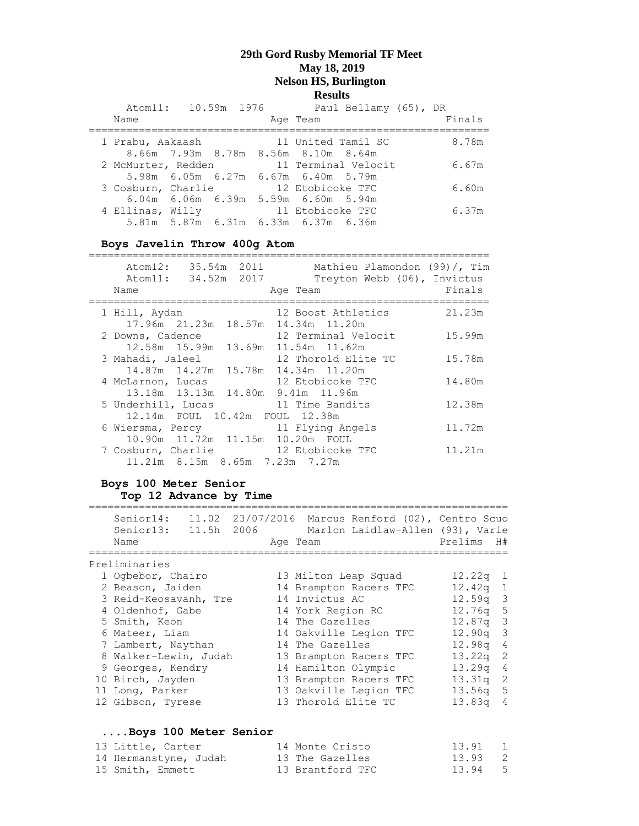|                    | Atom11: 10.59m 1976 |  | Paul Bellamy (65), DR                 |        |
|--------------------|---------------------|--|---------------------------------------|--------|
| Name               |                     |  | Age Team                              | Finals |
| 1 Prabu, Aakaash   |                     |  | 11 United Tamil SC                    | 8.78m  |
|                    |                     |  | 8.66m 7.93m 8.78m 8.56m 8.10m 8.64m   |        |
| 2 McMurter, Redden |                     |  | 11 Terminal Velocit                   | 6.67m  |
|                    |                     |  | 5.98m 6.05m 6.27m 6.67m 6.40m 5.79m   |        |
| 3 Cosburn, Charlie |                     |  | 12 Etobicoke TFC                      | 6.60m  |
|                    |                     |  | $6.04m$ 6.06m 6.39m 5.59m 6.60m 5.94m |        |
| 4 Ellinas, Willy   |                     |  | 11 Etobicoke TFC                      | 6.37m  |
|                    |                     |  | 5.81m 5.87m 6.31m 6.33m 6.37m 6.36m   |        |

**Boys Javelin Throw 400g Atom**

| Atom12:<br>Name    | Atom11: 34.52m 2017 | Mathieu Plamondon (99)/, Tim<br>Treyton Webb (06), Invictus<br>Age Team | Finals |
|--------------------|---------------------|-------------------------------------------------------------------------|--------|
| 1 Hill, Aydan      |                     | 12 Boost Athletics<br>17.96m 21.23m 18.57m 14.34m 11.20m                | 21.23m |
| 2 Downs, Cadence   |                     | 12 Terminal Velocit<br>12.58m 15.99m 13.69m 11.54m 11.62m               | 15.99m |
| 3 Mahadi, Jaleel   |                     | 12 Thorold Elite TC<br>14.87m 14.27m 15.78m 14.34m 11.20m               | 15.78m |
| 4 McLarnon, Lucas  |                     | 12 Etobicoke TFC<br>13.18m  13.13m  14.80m  9.41m  11.96m               | 14.80m |
| 5 Underhill, Lucas |                     | 11 Time Bandits<br>12.14m FOUL 10.42m FOUL 12.38m                       | 12.38m |
| 6 Wiersma, Percy   |                     | 11 Flying Angels<br>10.90m 11.72m 11.15m 10.20m FOUL                    | 11.72m |
|                    |                     | 7 Cosburn, Charlie 12 Etobicoke TFC<br>11.21m 8.15m 8.65m 7.23m 7.27m   | 11.21m |

#### **Boys 100 Meter Senior Top 12 Advance by Time**

| Senior14: 11.02 23/07/2016 Marcus Renford (02), Centro Scuo<br>Senior13: 11.5h 2006 Marlon Laidlaw-Allen (93), Varie<br>Name |  | Age Team               |  | Prelims    | H#             |
|------------------------------------------------------------------------------------------------------------------------------|--|------------------------|--|------------|----------------|
|                                                                                                                              |  |                        |  |            |                |
| Preliminaries                                                                                                                |  |                        |  |            |                |
| 1 Ogbebor, Chairo                                                                                                            |  | 13 Milton Leap Squad   |  | $12.22q$ 1 |                |
| 2 Beason, Jaiden                                                                                                             |  | 14 Brampton Racers TFC |  | $12.42q$ 1 |                |
| 3 Reid-Keosavanh, Tre                                                                                                        |  | 14 Invictus AC         |  | $12.59q$ 3 |                |
| 4 Oldenhof, Gabe                                                                                                             |  | 14 York Region RC      |  | $12.76q$ 5 |                |
| 5 Smith, Keon                                                                                                                |  | 14 The Gazelles        |  | $12.87q$ 3 |                |
| 6 Mateer, Liam                                                                                                               |  | 14 Oakville Legion TFC |  | $12.90q$ 3 |                |
| 7 Lambert, Naythan                                                                                                           |  | 14 The Gazelles        |  | 12.98q 4   |                |
| 8 Walker-Lewin, Judah                                                                                                        |  | 13 Brampton Racers TFC |  | $13.22q$ 2 |                |
| 9 Georges, Kendry                                                                                                            |  | 14 Hamilton Olympic    |  | 13.29q     | $\overline{4}$ |
| 10 Birch, Jayden                                                                                                             |  | 13 Brampton Racers TFC |  | 13.31q     | -2             |
| 11 Long, Parker                                                                                                              |  | 13 Oakville Legion TFC |  | $13.56q$ 5 |                |
| 12 Gibson, Tyrese                                                                                                            |  | 13 Thorold Elite TC    |  | 13.83a     | $\overline{4}$ |
|                                                                                                                              |  |                        |  |            |                |
|                                                                                                                              |  |                        |  |            |                |

# **....Boys 100 Meter Senior**

| 13 Little, Carter     | 14 Monte Cristo  | 13.91 1 |  |
|-----------------------|------------------|---------|--|
| 14 Hermanstyne, Judah | 13 The Gazelles  | 13.93 2 |  |
| 15 Smith, Emmett      | 13 Brantford TFC | 13.94 5 |  |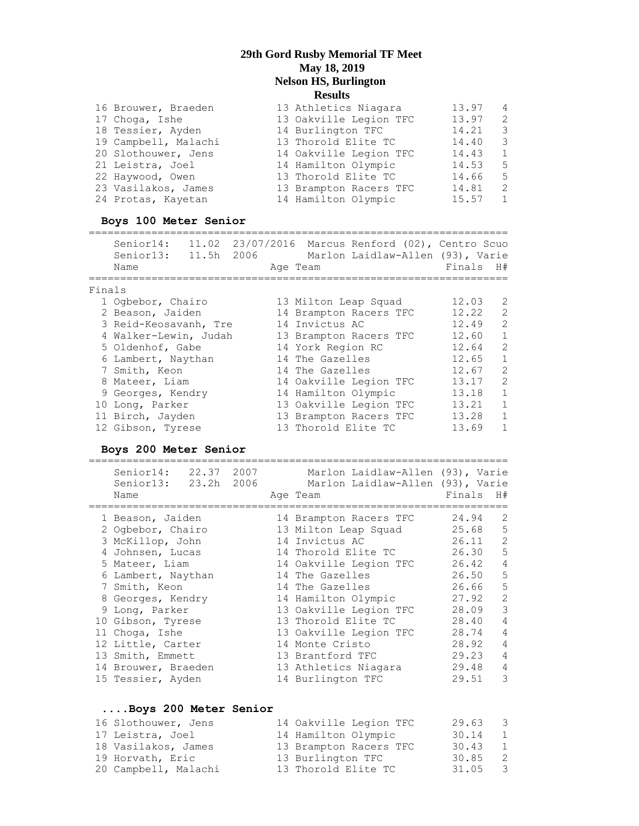| 16 Brouwer, Braeden  | 13 Athletics Niagara   | 13.97 | 4              |
|----------------------|------------------------|-------|----------------|
| 17 Choga, Ishe       | 13 Oakville Legion TFC | 13.97 | $\overline{2}$ |
| 18 Tessier, Ayden    | 14 Burlington TFC      | 14.21 | -3             |
| 19 Campbell, Malachi | 13 Thorold Elite TC    | 14.40 | -3             |
| 20 Slothouwer, Jens  | 14 Oakville Legion TFC | 14.43 | 1              |
| 21 Leistra, Joel     | 14 Hamilton Olympic    | 14.53 | - 5            |
| 22 Haywood, Owen     | 13 Thorold Elite TC    | 14.66 | - 5            |
| 23 Vasilakos, James  | 13 Brampton Racers TFC | 14.81 | -2             |
| 24 Protas, Kayetan   | 14 Hamilton Olympic    | 15.57 | 1              |

#### **Boys 100 Meter Senior**

=================================================================== Senior14: 11.02 23/07/2016 Marcus Renford (02), Centro Scuo Senior13: 11.5h 2006 Marlon Laidlaw-Allen (93), Varie Name **Age Team Age Team** Finals H# =================================================================== Finals 1 Ogbebor, Chairo 13 Milton Leap Squad 12.03 2 2 Beason, Jaiden 14 Brampton Racers TFC 12.22 2 3 Reid-Keosavanh, Tre 14 Invictus AC 12.49 2 4 Walker-Lewin, Judah 13 Brampton Racers TFC 12.60 1 5 Oldenhof, Gabe 14 York Region RC 12.64 2 6 Lambert, Naythan 14 The Gazelles 12.65 1 7 Smith, Keon 14 The Gazelles 12.67 2 8 Mateer, Liam and 14 Oakville Legion TFC 13.17 2 9 Georges, Kendry 14 Hamilton Olympic 13.18 1 10 Long, Parker 13 Oakville Legion TFC 13.21 1 11 Birch, Jayden 13 Brampton Racers TFC 13.28 1 12 Gibson, Tyrese 13 Thorold Elite TC 13.69 1 **Boys 200 Meter Senior** =================================================================== Senior14: 22.37 2007 Marlon Laidlaw-Allen (93), Varie

| Name |                                                                                                                                                                                                                                                                                                           |  | Finals                                                                                                                                                                                                                                                                                                                                                                            | H#                                                                            |
|------|-----------------------------------------------------------------------------------------------------------------------------------------------------------------------------------------------------------------------------------------------------------------------------------------------------------|--|-----------------------------------------------------------------------------------------------------------------------------------------------------------------------------------------------------------------------------------------------------------------------------------------------------------------------------------------------------------------------------------|-------------------------------------------------------------------------------|
|      |                                                                                                                                                                                                                                                                                                           |  | 24.94                                                                                                                                                                                                                                                                                                                                                                             | 2                                                                             |
|      |                                                                                                                                                                                                                                                                                                           |  |                                                                                                                                                                                                                                                                                                                                                                                   | 5                                                                             |
|      |                                                                                                                                                                                                                                                                                                           |  |                                                                                                                                                                                                                                                                                                                                                                                   | 2                                                                             |
|      |                                                                                                                                                                                                                                                                                                           |  |                                                                                                                                                                                                                                                                                                                                                                                   | $5\overline{5}$                                                               |
|      |                                                                                                                                                                                                                                                                                                           |  | 26.42                                                                                                                                                                                                                                                                                                                                                                             | $\overline{4}$                                                                |
|      |                                                                                                                                                                                                                                                                                                           |  |                                                                                                                                                                                                                                                                                                                                                                                   | 5                                                                             |
|      |                                                                                                                                                                                                                                                                                                           |  | 26.66                                                                                                                                                                                                                                                                                                                                                                             | 5                                                                             |
|      |                                                                                                                                                                                                                                                                                                           |  |                                                                                                                                                                                                                                                                                                                                                                                   | 2                                                                             |
|      |                                                                                                                                                                                                                                                                                                           |  | 28.09                                                                                                                                                                                                                                                                                                                                                                             | 3                                                                             |
|      |                                                                                                                                                                                                                                                                                                           |  | 28.40                                                                                                                                                                                                                                                                                                                                                                             | $\overline{4}$                                                                |
|      |                                                                                                                                                                                                                                                                                                           |  | 28.74                                                                                                                                                                                                                                                                                                                                                                             | $\overline{4}$                                                                |
|      |                                                                                                                                                                                                                                                                                                           |  | 28.92                                                                                                                                                                                                                                                                                                                                                                             | $\overline{4}$                                                                |
|      |                                                                                                                                                                                                                                                                                                           |  | 29.23                                                                                                                                                                                                                                                                                                                                                                             | $\overline{4}$                                                                |
|      |                                                                                                                                                                                                                                                                                                           |  | 29.48                                                                                                                                                                                                                                                                                                                                                                             | $\overline{4}$                                                                |
|      |                                                                                                                                                                                                                                                                                                           |  | 29.51                                                                                                                                                                                                                                                                                                                                                                             | 3                                                                             |
|      |                                                                                                                                                                                                                                                                                                           |  |                                                                                                                                                                                                                                                                                                                                                                                   |                                                                               |
|      | 1 Beason, Jaiden<br>2 Ogbebor, Chairo<br>3 McKillop, John<br>4 Johnsen, Lucas<br>5 Mateer, Liam<br>6 Lambert, Naythan<br>7 Smith, Keon<br>8 Georges, Kendry<br>9 Long, Parker<br>10 Gibson, Tyrese<br>11 Choga, Ishe<br>12 Little, Carter<br>13 Smith, Emmett<br>14 Brouwer, Braeden<br>15 Tessier, Ayden |  | Senior13: 23.2h 2006<br>Age Team<br>14 Brampton Racers TFC<br>13 Milton Leap Squad<br>14 Invictus AC<br>14 Thorold Elite TC<br>14 Oakville Legion TFC<br>14 The Gazelles<br>14 The Gazelles<br>14 Hamilton Olympic<br>13 Oakville Legion TFC<br>13 Thorold Elite TC<br>13 Oakville Legion TFC<br>14 Monte Cristo<br>13 Brantford TFC<br>13 Athletics Niagara<br>14 Burlington TFC | Marlon Laidlaw-Allen (93), Varie<br>25.68<br>26.11<br>26.30<br>26.50<br>27.92 |

#### **....Boys 200 Meter Senior** 16 Slothouwer, Jens 14 Oakville Legion TFC 29.63 3 17 Leistra, Joel 14 Hamilton Olympic 30.14 1 18 Vasilakos, James 13 Brampton Racers TFC 30.43 1 19 Horvath, Eric **13 Burlington TFC** 30.85 2 20 Campbell, Malachi 13 Thorold Elite TC 31.05 3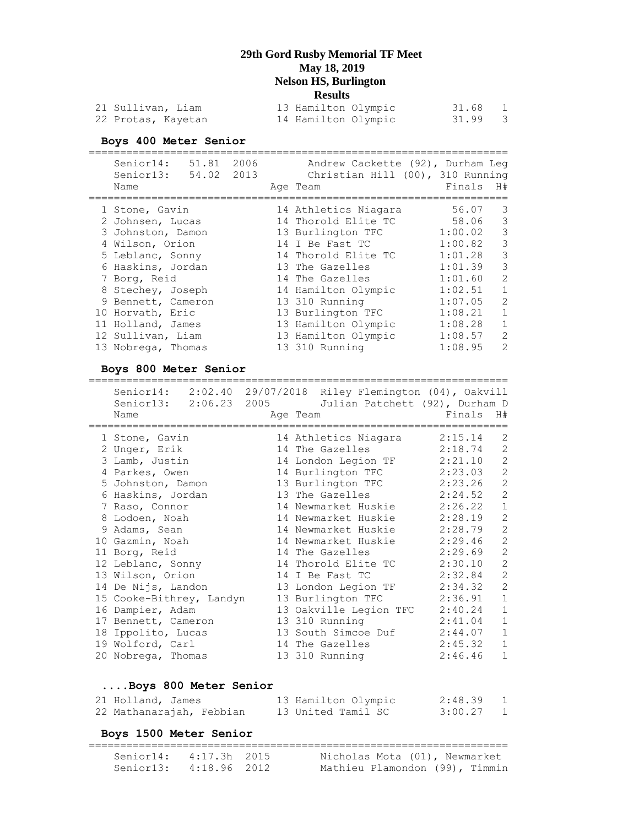| 21 Sullivan, Liam  |  | 13 Hamilton Olympic | 31.68 |  |
|--------------------|--|---------------------|-------|--|
| 22 Protas, Kayetan |  | 14 Hamilton Olympic | 31.99 |  |

#### **Boys 400 Meter Senior**

| 51.81 2006<br>Senior14:<br>54.02 2013<br>Senior13:<br>Name |  | Andrew Cackette (92), Durham Leq<br>Christian Hill (00), 310 Running<br>Age Team | Finals  | H#                                                                                                                                                                   |
|------------------------------------------------------------|--|----------------------------------------------------------------------------------|---------|----------------------------------------------------------------------------------------------------------------------------------------------------------------------|
| 1 Stone, Gavin                                             |  | 14 Athletics Niagara                                                             | 56.07   | 3                                                                                                                                                                    |
| 2 Johnsen, Lucas                                           |  | 14 Thorold Elite TC                                                              | 58.06   | 3                                                                                                                                                                    |
| 3 Johnston, Damon                                          |  | 13 Burlington TFC                                                                | 1:00.02 | 3                                                                                                                                                                    |
| 4 Wilson, Orion                                            |  | 14 I Be Fast TC                                                                  | 1:00.82 | 3                                                                                                                                                                    |
| 5 Leblanc, Sonny                                           |  | 14 Thorold Elite TC                                                              | 1:01.28 | 3                                                                                                                                                                    |
| 6 Haskins, Jordan                                          |  | 13 The Gazelles                                                                  | 1:01.39 | 3                                                                                                                                                                    |
| 7 Borg, Reid                                               |  | 14 The Gazelles                                                                  | 1:01.60 | $\mathcal{L}$                                                                                                                                                        |
| 8 Stechey, Joseph                                          |  | 14 Hamilton Olympic                                                              | 1:02.51 | 1                                                                                                                                                                    |
| 9 Bennett, Cameron                                         |  | 13 310 Running                                                                   | 1:07.05 | $\mathcal{D}_{\mathcal{A}}^{\mathcal{A}}(\mathcal{A}) = \mathcal{D}_{\mathcal{A}}^{\mathcal{A}}(\mathcal{A}) = \mathcal{D}_{\mathcal{A}}^{\mathcal{A}}(\mathcal{A})$ |
| 10 Horvath, Eric                                           |  | 13 Burlington TFC                                                                | 1:08.21 |                                                                                                                                                                      |
| 11 Holland, James                                          |  | 13 Hamilton Olympic                                                              | 1:08.28 | 1                                                                                                                                                                    |
| 12 Sullivan, Liam                                          |  | 13 Hamilton Olympic                                                              | 1:08.57 | $\mathcal{D}$                                                                                                                                                        |
| 13 Nobrega, Thomas                                         |  | 13 310 Running                                                                   | 1:08.95 | $\mathcal{D}$                                                                                                                                                        |

#### **Boys 800 Meter Senior**

=================================================================== Senior14: 2:02.40 29/07/2018 Riley Flemington (04), Oakvill Senior13: 2:06.23 2005 Julian Patchett (92), Durham D Name **Age Team Age Team** Finals H# =================================================================== 1 Stone, Gavin 14 Athletics Niagara 2:15.14 2 2 Unger, Erik 14 The Gazelles 2:18.74 2 3 Lamb, Justin 14 London Legion TF 2:21.10 2 4 Parkes, Owen 14 Burlington TFC 2:23.03 2 5 Johnston, Damon 13 Burlington TFC 2:23.26 2 6 Haskins, Jordan 13 The Gazelles 2:24.52 2 7 Raso, Connor 14 Newmarket Huskie 2:26.22 1 8 Lodoen, Noah 14 Newmarket Huskie 2:28.19 2 9 Adams, Sean 14 Newmarket Huskie 2:28.79 2 10 Gazmin, Noah 14 Newmarket Huskie 2:29.46 2 11 Borg, Reid 14 The Gazelles 2:29.69 2 12 Leblanc, Sonny 14 Thorold Elite TC 2:30.10 2 13 Wilson, Orion 14 I Be Fast TC 2:32.84 2 14 De Nijs, Landon 13 London Legion TF 2:34.32 2 15 Cooke-Bithrey, Landyn 13 Burlington TFC 2:36.91 1 16 Dampier, Adam 13 Oakville Legion TFC 2:40.24 1 17 Bennett, Cameron 13 310 Running 2:41.04 1 18 Ippolito, Lucas 13 South Simcoe Duf 2:44.07 1 19 Wolford, Carl 14 The Gazelles 2:45.32 1 20 Nobrega, Thomas 13 310 Running 2:46.46 1

### **....Boys 800 Meter Senior**

| 21 Holland, James        |  | 13 Hamilton Olympic | 2:48.39 |  |
|--------------------------|--|---------------------|---------|--|
| 22 Mathanarajah, Febbian |  | 13 United Tamil SC  | 3:00.27 |  |

#### **Boys 1500 Meter Senior**

| Senior14: 4:17.3h 2015 |  | Nicholas Mota (01), Newmarket  |
|------------------------|--|--------------------------------|
| Senior13: 4:18.96 2012 |  | Mathieu Plamondon (99), Timmin |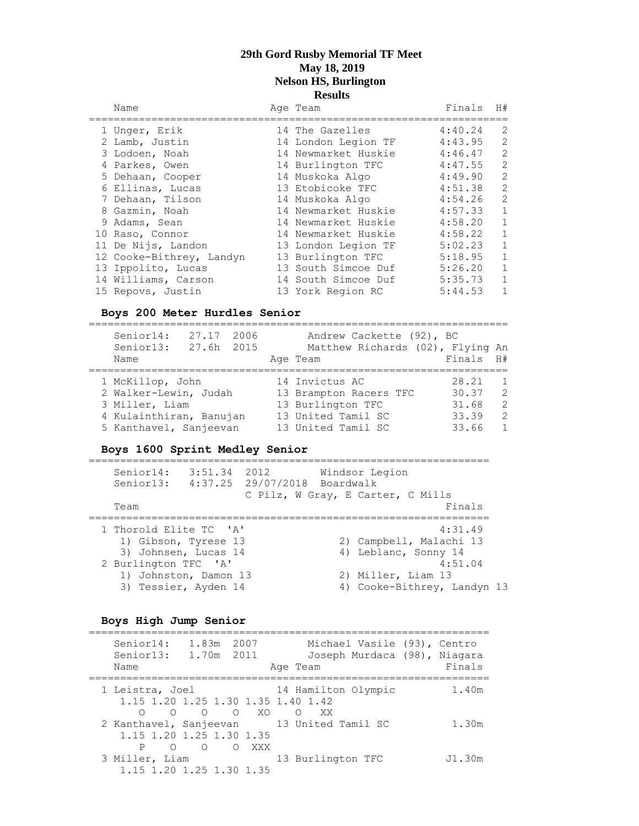#### Name and Age Team and Finals H# =================================================================== 1 Unger, Erik 14 The Gazelles 4:40.24 2 2 Lamb, Justin 14 London Legion TF 4:43.95 2 3 Lodoen, Noah 14 Newmarket Huskie 4:46.47 2 4 Parkes, Owen 14 Burlington TFC 4:47.55 2 5 Dehaan, Cooper 14 Muskoka Algo 4:49.90 2 6 Ellinas, Lucas 13 Etobicoke TFC 4:51.38 2 7 Dehaan, Tilson 14 Muskoka Algo 4:54.26 2

| 7 Denaan, Tiison         | 14 MUSKOKA AlQO     | 4:54.46 | $\frac{1}{2}$  |
|--------------------------|---------------------|---------|----------------|
| 8 Gazmin, Noah           | 14 Newmarket Huskie | 4:57.33 | $\overline{1}$ |
| 9 Adams, Sean            | 14 Newmarket Huskie | 4:58.20 | 1              |
| 10 Raso, Connor          | 14 Newmarket Huskie | 4:58.22 | $\overline{1}$ |
| 11 De Nijs, Landon       | 13 London Legion TF | 5:02.23 | 1              |
| 12 Cooke-Bithrey, Landyn | 13 Burlington TFC   | 5:18.95 | $\overline{1}$ |
| 13 Ippolito, Lucas       | 13 South Simcoe Duf | 5:26.20 | 1              |
| 14 Williams, Carson      | 14 South Simcoe Duf | 5:35.73 | 1              |
| 15 Repovs, Justin        | 13 York Region RC   | 5:44.53 | -1             |

#### **Boys 200 Meter Hurdles Senior**

| Senior14:<br>27.17<br>2006<br>Senior13:<br>27.6h 2015 | Andrew Cackette (92), BC<br>Matthew Richards (02), Flying An |           |                |
|-------------------------------------------------------|--------------------------------------------------------------|-----------|----------------|
| Name                                                  | Age Team                                                     | Finals H# |                |
|                                                       |                                                              |           |                |
| 1 McKillop, John                                      | 14 Invictus AC                                               | 28.21     | $\overline{1}$ |
| 2 Walker-Lewin, Judah                                 | 13 Brampton Racers TFC                                       | 30.37     | 2              |
| 3 Miller, Liam                                        | 13 Burlington TFC                                            | 31.68     | $\overline{2}$ |
| 4 Kulainthiran, Banujan                               | 13 United Tamil SC                                           | 33.39     | $\mathcal{L}$  |
| 5 Kanthavel, Sanjeevan                                | 13 United Tamil SC                                           | 33.66     | $\mathbf{1}$   |

#### **Boys 1600 Sprint Medley Senior**

| Senior14:<br>Senior13:                                                                                                                          | 3:51.34 | 2012<br>4:37.25 29/07/2018 Boardwalk | Windsor Legion<br>C Pilz, W Gray, E Carter, C Mills                                                  |                    |  |
|-------------------------------------------------------------------------------------------------------------------------------------------------|---------|--------------------------------------|------------------------------------------------------------------------------------------------------|--------------------|--|
| Team                                                                                                                                            |         |                                      |                                                                                                      | Finals             |  |
| 1 Thorold Elite TC 'A'<br>1) Gibson, Tyrese 13<br>3) Johnsen, Lucas 14<br>2 Burlington TFC 'A'<br>1) Johnston, Damon 13<br>3) Tessier, Ayden 14 |         |                                      | 2) Campbell, Malachi 13<br>4) Leblanc, Sonny 14<br>2) Miller, Liam 13<br>4) Cooke-Bithrey, Landyn 13 | 4:31.49<br>4:51.04 |  |

#### **Boys High Jump Senior**

| Senior14:<br>Senior13:<br>Name                                             | 1.83m 2007<br>1.70m 2011 |        | Age Team            | Michael Vasile (93), Centro<br>Joseph Murdaca (98), Niagara | Finals |
|----------------------------------------------------------------------------|--------------------------|--------|---------------------|-------------------------------------------------------------|--------|
| 1 Leistra, Joel<br>1.15 1.20 1.25 1.30 1.35 1.40 1.42                      |                          |        | 14 Hamilton Olympic |                                                             | 1.40m  |
| ∩<br>2 Kanthavel, Sanjeevan 13 United Tamil SC<br>1.15 1.20 1.25 1.30 1.35 | $O$ $O$ $O$ $XO$         |        | O XX                |                                                             | 1.30m  |
| $\bigcirc$<br>3 Miller, Liam<br>1.15 1.20 1.25 1.30 1.35                   |                          | O OXXX | 13 Burlington TFC   |                                                             | J1.30m |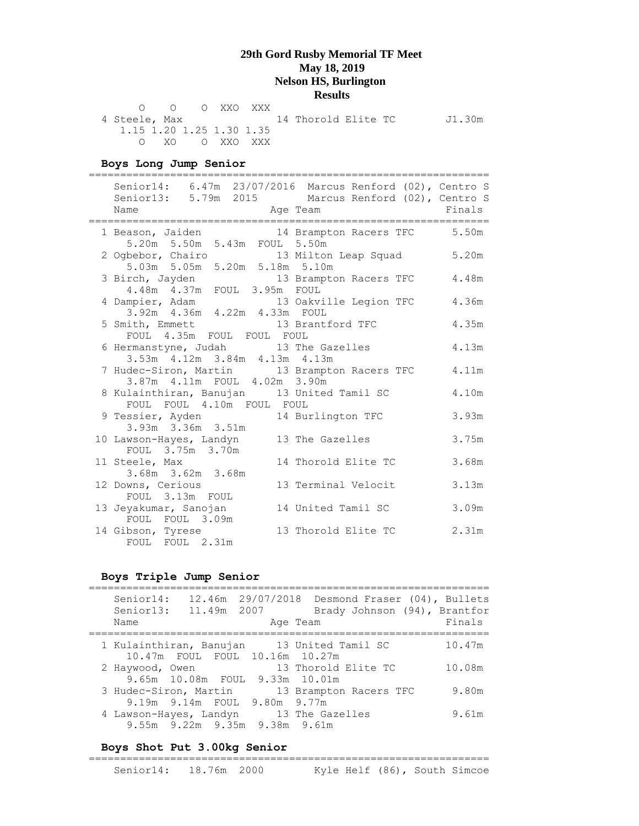O O O XXO XXX 4 Steele, Max 14 Thorold Elite TC J1.30m 1.15 1.20 1.25 1.30 1.35 O XO O XXO XXX

#### **Boys Long Jump Senior**

================================================================ Senior14: 6.47m 23/07/2016 Marcus Renford (02), Centro S Senior13: 5.79m 2015 Marcus Renford (02), Centro S Name Represent Age Team Rinals ================================================================ 1 Beason, Jaiden 14 Brampton Racers TFC 5.50m 5.20m 5.50m 5.43m FOUL 5.50m 2 Ogbebor, Chairo 13 Milton Leap Squad 5.20m 5.03m 5.05m 5.20m 5.18m 5.10m 3 Birch, Jayden 13 Brampton Racers TFC 4.48m 4.48m 4.37m FOUL 3.95m FOUL 4 Dampier, Adam 13 Oakville Legion TFC 4.36m 3.92m 4.36m 4.22m 4.33m FOUL 5 Smith, Emmett 13 Brantford TFC 4.35m FOUL 4.35m FOUL FOUL FOUL 6 Hermanstyne, Judah 13 The Gazelles 4.13m 3.53m 4.12m 3.84m 4.13m 4.13m 7 Hudec-Siron, Martin 13 Brampton Racers TFC 4.11m 3.87m 4.11m FOUL 4.02m 3.90m 8 Kulainthiran, Banujan 13 United Tamil SC 4.10m FOUL FOUL 4.10m FOUL FOUL 9 Tessier, Ayden 14 Burlington TFC 3.93m 3.93m 3.36m 3.51m 10 Lawson-Hayes, Landyn 13 The Gazelles 3.75m FOUL 3.75m 3.70m<br>11 Steele, Max 14 Thorold Elite TC 3.68m 3.68m 3.62m 3.68m 12 Downs, Cerious 13 Terminal Velocit 3.13m FOUL 3.13m FOUL 13 Jeyakumar, Sanojan 14 United Tamil SC 3.09m FOUL FOUL 3.09m 14 Gibson, Tyrese 13 Thorold Elite TC 2.31m FOUL FOUL 2.31m

#### **Boys Triple Jump Senior**

| Senior14:<br>Senior13:<br>Name | 11.49m 2007                                           | 12.46m  29/07/2018  Desmond Fraser (04), Bullets<br>Brady Johnson (94), Brantfor<br>Age Team | Finals |
|--------------------------------|-------------------------------------------------------|----------------------------------------------------------------------------------------------|--------|
|                                | 10.47m FOUL FOUL 10.16m 10.27m                        | 1 Kulainthiran, Banujan 13 United Tamil SC                                                   | 10.47m |
| 2 Haywood, Owen                | 9.65m 10.08m FOUL 9.33m 10.01m                        | 13 Thorold Elite TC                                                                          | 10.08m |
|                                | 3 Hudec-Siron, Martin<br>9.19m 9.14m FOUL 9.80m 9.77m | 13 Brampton Racers TFC                                                                       | 9.80m  |
|                                | 9.55m 9.22m 9.35m 9.38m 9.61m                         | 4 Lawson-Hayes, Landyn 13 The Gazelles                                                       | 9.61m  |

#### **Boys Shot Put 3.00kg Senior**

| Senior14: 18.76m 2000 |  |  |  | Kyle Helf (86), South Simcoe |
|-----------------------|--|--|--|------------------------------|